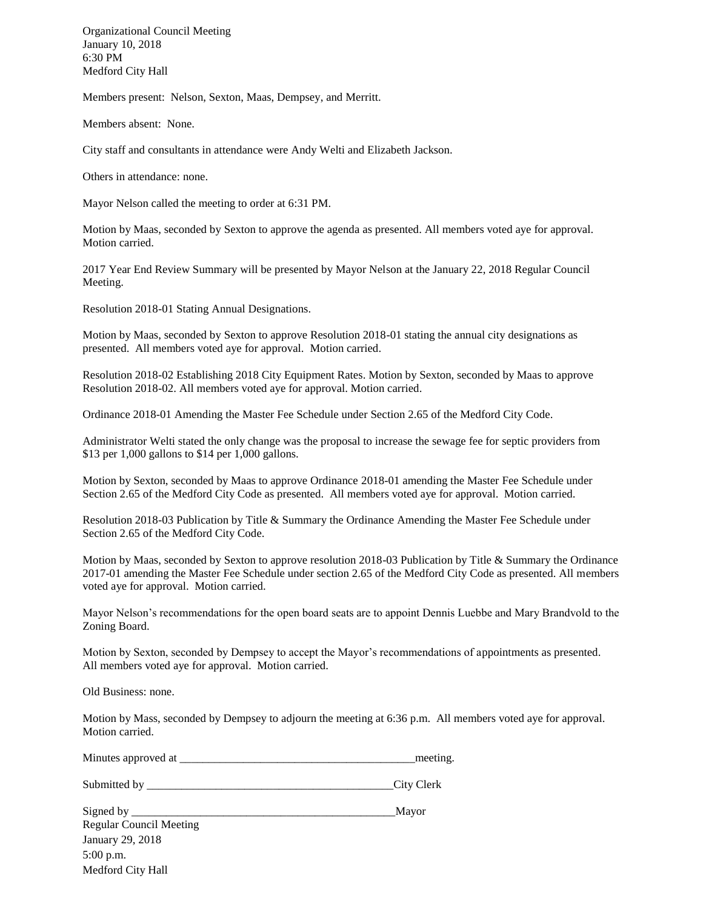Organizational Council Meeting January 10, 2018 6:30 PM Medford City Hall

Members present: Nelson, Sexton, Maas, Dempsey, and Merritt.

Members absent: None.

City staff and consultants in attendance were Andy Welti and Elizabeth Jackson.

Others in attendance: none.

Mayor Nelson called the meeting to order at 6:31 PM.

Motion by Maas, seconded by Sexton to approve the agenda as presented. All members voted aye for approval. Motion carried.

2017 Year End Review Summary will be presented by Mayor Nelson at the January 22, 2018 Regular Council Meeting.

Resolution 2018-01 Stating Annual Designations.

Motion by Maas, seconded by Sexton to approve Resolution 2018-01 stating the annual city designations as presented. All members voted aye for approval. Motion carried.

Resolution 2018-02 Establishing 2018 City Equipment Rates. Motion by Sexton, seconded by Maas to approve Resolution 2018-02. All members voted aye for approval. Motion carried.

Ordinance 2018-01 Amending the Master Fee Schedule under Section 2.65 of the Medford City Code.

Administrator Welti stated the only change was the proposal to increase the sewage fee for septic providers from \$13 per 1,000 gallons to \$14 per 1,000 gallons.

Motion by Sexton, seconded by Maas to approve Ordinance 2018-01 amending the Master Fee Schedule under Section 2.65 of the Medford City Code as presented. All members voted aye for approval. Motion carried.

Resolution 2018-03 Publication by Title & Summary the Ordinance Amending the Master Fee Schedule under Section 2.65 of the Medford City Code.

Motion by Maas, seconded by Sexton to approve resolution 2018-03 Publication by Title & Summary the Ordinance 2017-01 amending the Master Fee Schedule under section 2.65 of the Medford City Code as presented. All members voted aye for approval. Motion carried.

Mayor Nelson's recommendations for the open board seats are to appoint Dennis Luebbe and Mary Brandvold to the Zoning Board.

Motion by Sexton, seconded by Dempsey to accept the Mayor's recommendations of appointments as presented. All members voted aye for approval. Motion carried.

Old Business: none.

Motion by Mass, seconded by Dempsey to adjourn the meeting at 6:36 p.m. All members voted aye for approval. Motion carried.

Minutes approved at  $\blacksquare$ 

Submitted by \_\_\_\_\_\_\_\_\_\_\_\_\_\_\_\_\_\_\_\_\_\_\_\_\_\_\_\_\_\_\_\_\_\_\_\_\_\_\_\_\_\_\_City Clerk

Signed by \_\_\_\_\_\_\_\_\_\_\_\_\_\_\_\_\_\_\_\_\_\_\_\_\_\_\_\_\_\_\_\_\_\_\_\_\_\_\_\_\_\_\_\_\_\_Mayor Regular Council Meeting January 29, 2018 5:00 p.m. Medford City Hall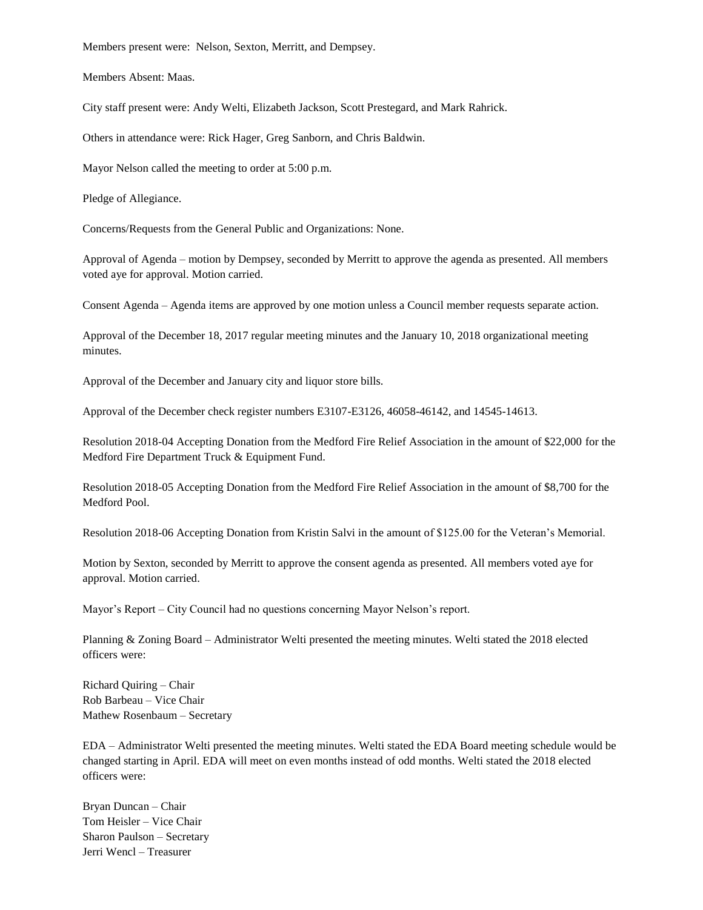Members present were: Nelson, Sexton, Merritt, and Dempsey.

Members Absent: Maas.

City staff present were: Andy Welti, Elizabeth Jackson, Scott Prestegard, and Mark Rahrick.

Others in attendance were: Rick Hager, Greg Sanborn, and Chris Baldwin.

Mayor Nelson called the meeting to order at 5:00 p.m.

Pledge of Allegiance.

Concerns/Requests from the General Public and Organizations: None.

Approval of Agenda – motion by Dempsey, seconded by Merritt to approve the agenda as presented. All members voted aye for approval. Motion carried.

Consent Agenda – Agenda items are approved by one motion unless a Council member requests separate action.

Approval of the December 18, 2017 regular meeting minutes and the January 10, 2018 organizational meeting minutes.

Approval of the December and January city and liquor store bills.

Approval of the December check register numbers E3107-E3126, 46058-46142, and 14545-14613.

Resolution 2018-04 Accepting Donation from the Medford Fire Relief Association in the amount of \$22,000 for the Medford Fire Department Truck & Equipment Fund.

Resolution 2018-05 Accepting Donation from the Medford Fire Relief Association in the amount of \$8,700 for the Medford Pool.

Resolution 2018-06 Accepting Donation from Kristin Salvi in the amount of \$125.00 for the Veteran's Memorial.

Motion by Sexton, seconded by Merritt to approve the consent agenda as presented. All members voted aye for approval. Motion carried.

Mayor's Report – City Council had no questions concerning Mayor Nelson's report.

Planning & Zoning Board – Administrator Welti presented the meeting minutes. Welti stated the 2018 elected officers were:

Richard Quiring – Chair Rob Barbeau – Vice Chair Mathew Rosenbaum – Secretary

EDA – Administrator Welti presented the meeting minutes. Welti stated the EDA Board meeting schedule would be changed starting in April. EDA will meet on even months instead of odd months. Welti stated the 2018 elected officers were:

Bryan Duncan – Chair Tom Heisler – Vice Chair Sharon Paulson – Secretary Jerri Wencl – Treasurer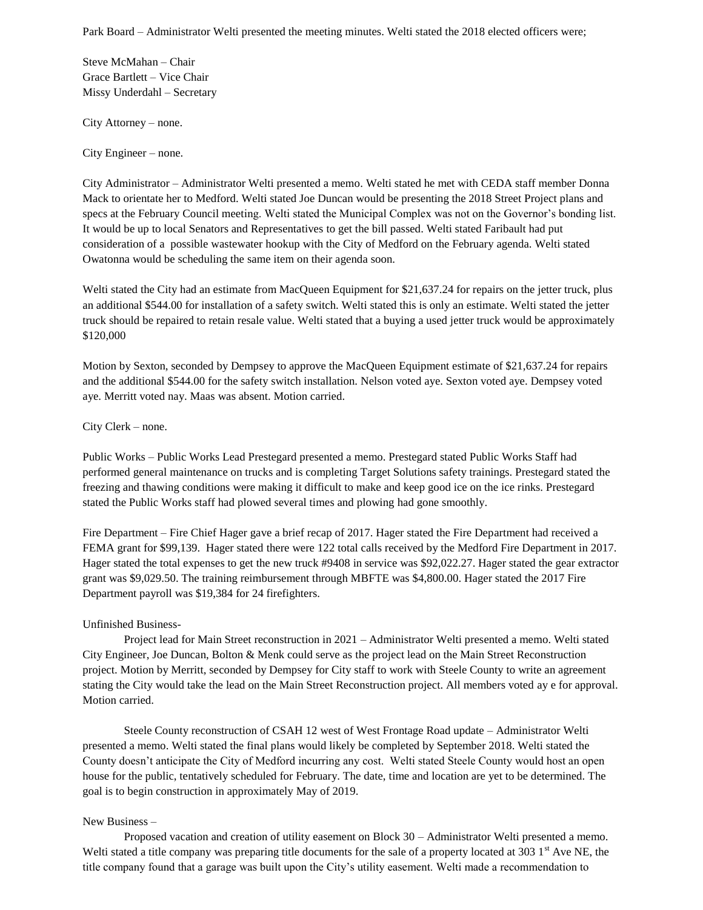Steve McMahan – Chair Grace Bartlett – Vice Chair Missy Underdahl – Secretary

City Attorney – none.

City Engineer – none.

City Administrator – Administrator Welti presented a memo. Welti stated he met with CEDA staff member Donna Mack to orientate her to Medford. Welti stated Joe Duncan would be presenting the 2018 Street Project plans and specs at the February Council meeting. Welti stated the Municipal Complex was not on the Governor's bonding list. It would be up to local Senators and Representatives to get the bill passed. Welti stated Faribault had put consideration of a possible wastewater hookup with the City of Medford on the February agenda. Welti stated Owatonna would be scheduling the same item on their agenda soon.

Welti stated the City had an estimate from MacQueen Equipment for \$21,637.24 for repairs on the jetter truck, plus an additional \$544.00 for installation of a safety switch. Welti stated this is only an estimate. Welti stated the jetter truck should be repaired to retain resale value. Welti stated that a buying a used jetter truck would be approximately \$120,000

Motion by Sexton, seconded by Dempsey to approve the MacQueen Equipment estimate of \$21,637.24 for repairs and the additional \$544.00 for the safety switch installation. Nelson voted aye. Sexton voted aye. Dempsey voted aye. Merritt voted nay. Maas was absent. Motion carried.

City Clerk – none.

Public Works – Public Works Lead Prestegard presented a memo. Prestegard stated Public Works Staff had performed general maintenance on trucks and is completing Target Solutions safety trainings. Prestegard stated the freezing and thawing conditions were making it difficult to make and keep good ice on the ice rinks. Prestegard stated the Public Works staff had plowed several times and plowing had gone smoothly.

Fire Department – Fire Chief Hager gave a brief recap of 2017. Hager stated the Fire Department had received a FEMA grant for \$99,139. Hager stated there were 122 total calls received by the Medford Fire Department in 2017. Hager stated the total expenses to get the new truck #9408 in service was \$92,022.27. Hager stated the gear extractor grant was \$9,029.50. The training reimbursement through MBFTE was \$4,800.00. Hager stated the 2017 Fire Department payroll was \$19,384 for 24 firefighters.

#### Unfinished Business-

Project lead for Main Street reconstruction in 2021 – Administrator Welti presented a memo. Welti stated City Engineer, Joe Duncan, Bolton & Menk could serve as the project lead on the Main Street Reconstruction project. Motion by Merritt, seconded by Dempsey for City staff to work with Steele County to write an agreement stating the City would take the lead on the Main Street Reconstruction project. All members voted ay e for approval. Motion carried.

Steele County reconstruction of CSAH 12 west of West Frontage Road update – Administrator Welti presented a memo. Welti stated the final plans would likely be completed by September 2018. Welti stated the County doesn't anticipate the City of Medford incurring any cost. Welti stated Steele County would host an open house for the public, tentatively scheduled for February. The date, time and location are yet to be determined. The goal is to begin construction in approximately May of 2019.

#### New Business –

Proposed vacation and creation of utility easement on Block 30 – Administrator Welti presented a memo. Welti stated a title company was preparing title documents for the sale of a property located at  $3031<sup>st</sup>$  Ave NE, the title company found that a garage was built upon the City's utility easement. Welti made a recommendation to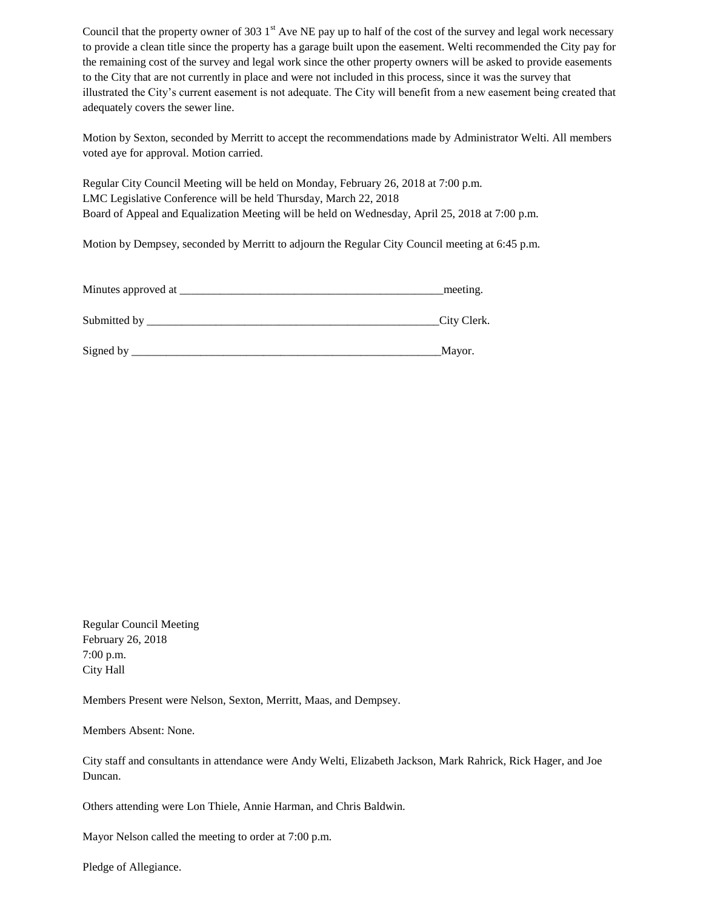Council that the property owner of 303  $1<sup>st</sup>$  Ave NE pay up to half of the cost of the survey and legal work necessary to provide a clean title since the property has a garage built upon the easement. Welti recommended the City pay for the remaining cost of the survey and legal work since the other property owners will be asked to provide easements to the City that are not currently in place and were not included in this process, since it was the survey that illustrated the City's current easement is not adequate. The City will benefit from a new easement being created that adequately covers the sewer line.

Motion by Sexton, seconded by Merritt to accept the recommendations made by Administrator Welti. All members voted aye for approval. Motion carried.

Regular City Council Meeting will be held on Monday, February 26, 2018 at 7:00 p.m. LMC Legislative Conference will be held Thursday, March 22, 2018 Board of Appeal and Equalization Meeting will be held on Wednesday, April 25, 2018 at 7:00 p.m.

Motion by Dempsey, seconded by Merritt to adjourn the Regular City Council meeting at 6:45 p.m.

| Minutes approved at |  |
|---------------------|--|
|---------------------|--|

| Submitted by |  |  |  |
|--------------|--|--|--|
|--------------|--|--|--|

| Sign |  |  |
|------|--|--|
|      |  |  |
|      |  |  |
|      |  |  |

Regular Council Meeting February 26, 2018 7:00 p.m. City Hall

Members Present were Nelson, Sexton, Merritt, Maas, and Dempsey.

Members Absent: None.

City staff and consultants in attendance were Andy Welti, Elizabeth Jackson, Mark Rahrick, Rick Hager, and Joe Duncan.

Others attending were Lon Thiele, Annie Harman, and Chris Baldwin.

Mayor Nelson called the meeting to order at 7:00 p.m.

Pledge of Allegiance.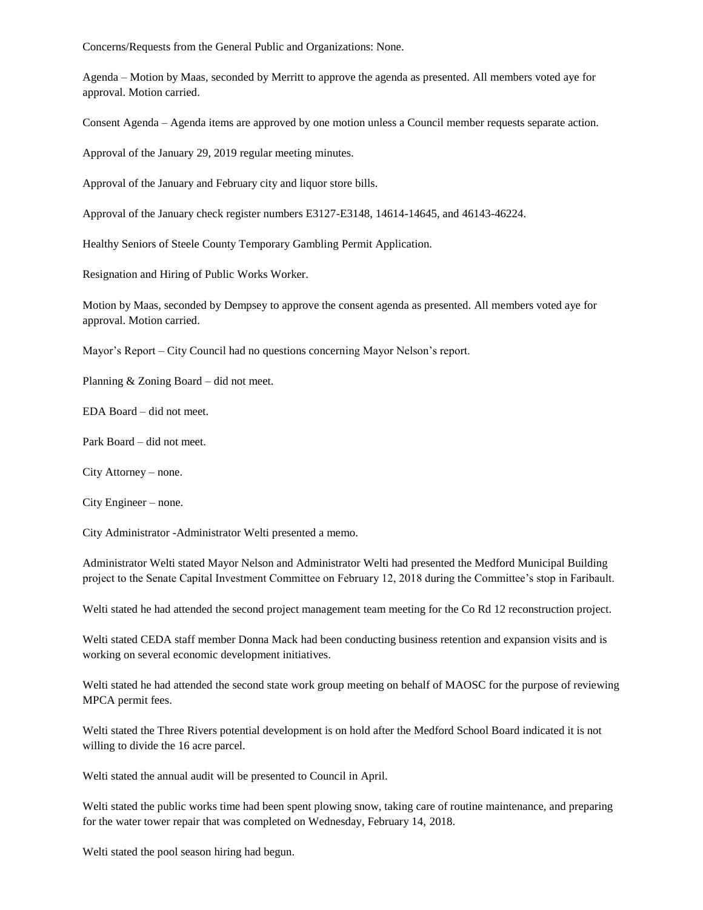Concerns/Requests from the General Public and Organizations: None.

Agenda – Motion by Maas, seconded by Merritt to approve the agenda as presented. All members voted aye for approval. Motion carried.

Consent Agenda – Agenda items are approved by one motion unless a Council member requests separate action.

Approval of the January 29, 2019 regular meeting minutes.

Approval of the January and February city and liquor store bills.

Approval of the January check register numbers E3127-E3148, 14614-14645, and 46143-46224.

Healthy Seniors of Steele County Temporary Gambling Permit Application.

Resignation and Hiring of Public Works Worker.

Motion by Maas, seconded by Dempsey to approve the consent agenda as presented. All members voted aye for approval. Motion carried.

Mayor's Report – City Council had no questions concerning Mayor Nelson's report.

Planning & Zoning Board – did not meet.

EDA Board – did not meet.

Park Board – did not meet.

City Attorney – none.

City Engineer – none.

City Administrator -Administrator Welti presented a memo.

Administrator Welti stated Mayor Nelson and Administrator Welti had presented the Medford Municipal Building project to the Senate Capital Investment Committee on February 12, 2018 during the Committee's stop in Faribault.

Welti stated he had attended the second project management team meeting for the Co Rd 12 reconstruction project.

Welti stated CEDA staff member Donna Mack had been conducting business retention and expansion visits and is working on several economic development initiatives.

Welti stated he had attended the second state work group meeting on behalf of MAOSC for the purpose of reviewing MPCA permit fees.

Welti stated the Three Rivers potential development is on hold after the Medford School Board indicated it is not willing to divide the 16 acre parcel.

Welti stated the annual audit will be presented to Council in April.

Welti stated the public works time had been spent plowing snow, taking care of routine maintenance, and preparing for the water tower repair that was completed on Wednesday, February 14, 2018.

Welti stated the pool season hiring had begun.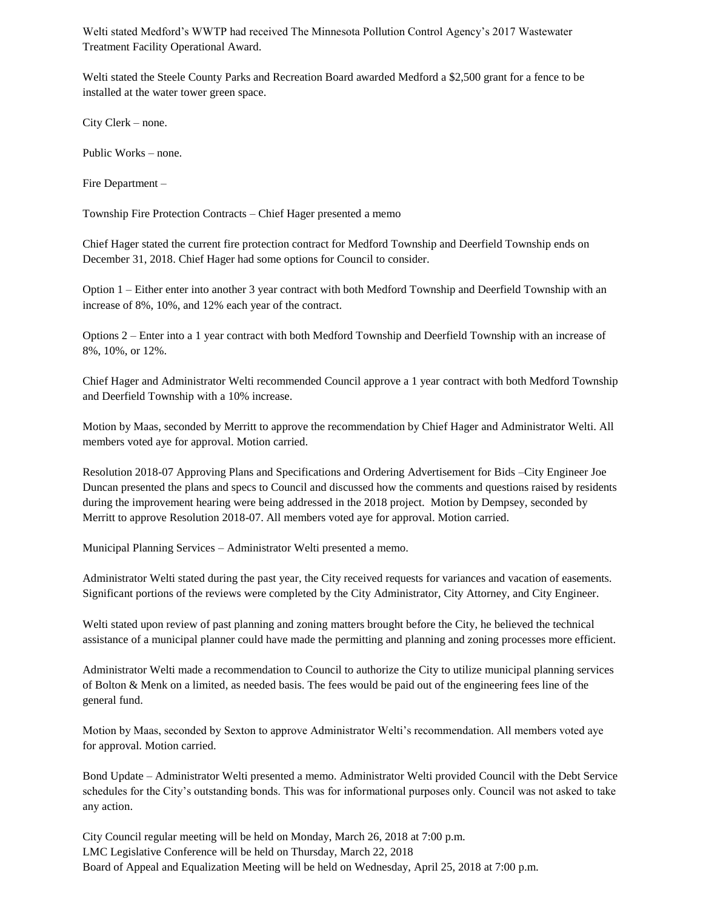Welti stated Medford's WWTP had received The Minnesota Pollution Control Agency's 2017 Wastewater Treatment Facility Operational Award.

Welti stated the Steele County Parks and Recreation Board awarded Medford a \$2,500 grant for a fence to be installed at the water tower green space.

City Clerk – none.

Public Works – none.

Fire Department –

Township Fire Protection Contracts – Chief Hager presented a memo

Chief Hager stated the current fire protection contract for Medford Township and Deerfield Township ends on December 31, 2018. Chief Hager had some options for Council to consider.

Option 1 – Either enter into another 3 year contract with both Medford Township and Deerfield Township with an increase of 8%, 10%, and 12% each year of the contract.

Options 2 – Enter into a 1 year contract with both Medford Township and Deerfield Township with an increase of 8%, 10%, or 12%.

Chief Hager and Administrator Welti recommended Council approve a 1 year contract with both Medford Township and Deerfield Township with a 10% increase.

Motion by Maas, seconded by Merritt to approve the recommendation by Chief Hager and Administrator Welti. All members voted aye for approval. Motion carried.

Resolution 2018-07 Approving Plans and Specifications and Ordering Advertisement for Bids –City Engineer Joe Duncan presented the plans and specs to Council and discussed how the comments and questions raised by residents during the improvement hearing were being addressed in the 2018 project. Motion by Dempsey, seconded by Merritt to approve Resolution 2018-07. All members voted aye for approval. Motion carried.

Municipal Planning Services – Administrator Welti presented a memo.

Administrator Welti stated during the past year, the City received requests for variances and vacation of easements. Significant portions of the reviews were completed by the City Administrator, City Attorney, and City Engineer.

Welti stated upon review of past planning and zoning matters brought before the City, he believed the technical assistance of a municipal planner could have made the permitting and planning and zoning processes more efficient.

Administrator Welti made a recommendation to Council to authorize the City to utilize municipal planning services of Bolton & Menk on a limited, as needed basis. The fees would be paid out of the engineering fees line of the general fund.

Motion by Maas, seconded by Sexton to approve Administrator Welti's recommendation. All members voted aye for approval. Motion carried.

Bond Update – Administrator Welti presented a memo. Administrator Welti provided Council with the Debt Service schedules for the City's outstanding bonds. This was for informational purposes only. Council was not asked to take any action.

City Council regular meeting will be held on Monday, March 26, 2018 at 7:00 p.m. LMC Legislative Conference will be held on Thursday, March 22, 2018 Board of Appeal and Equalization Meeting will be held on Wednesday, April 25, 2018 at 7:00 p.m.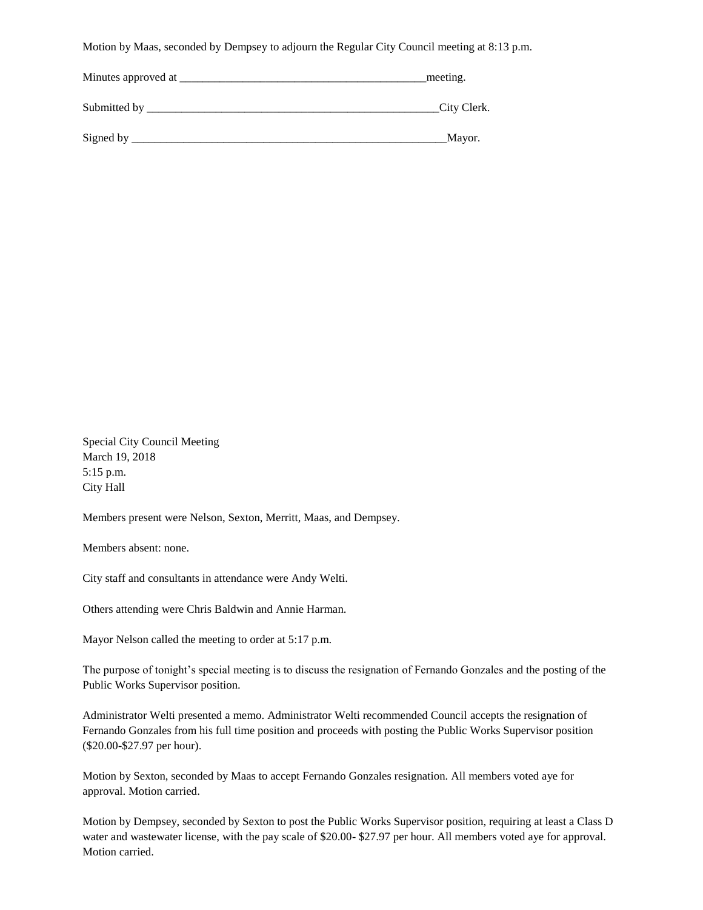Motion by Maas, seconded by Dempsey to adjourn the Regular City Council meeting at 8:13 p.m.

| Minutes approved at | meeting.    |
|---------------------|-------------|
| Submitted by        | City Clerk. |
| Signed by           | Mayor.      |

Special City Council Meeting March 19, 2018 5:15 p.m. City Hall

Members present were Nelson, Sexton, Merritt, Maas, and Dempsey.

Members absent: none.

City staff and consultants in attendance were Andy Welti.

Others attending were Chris Baldwin and Annie Harman.

Mayor Nelson called the meeting to order at 5:17 p.m.

The purpose of tonight's special meeting is to discuss the resignation of Fernando Gonzales and the posting of the Public Works Supervisor position.

Administrator Welti presented a memo. Administrator Welti recommended Council accepts the resignation of Fernando Gonzales from his full time position and proceeds with posting the Public Works Supervisor position (\$20.00-\$27.97 per hour).

Motion by Sexton, seconded by Maas to accept Fernando Gonzales resignation. All members voted aye for approval. Motion carried.

Motion by Dempsey, seconded by Sexton to post the Public Works Supervisor position, requiring at least a Class D water and wastewater license, with the pay scale of \$20.00- \$27.97 per hour. All members voted aye for approval. Motion carried.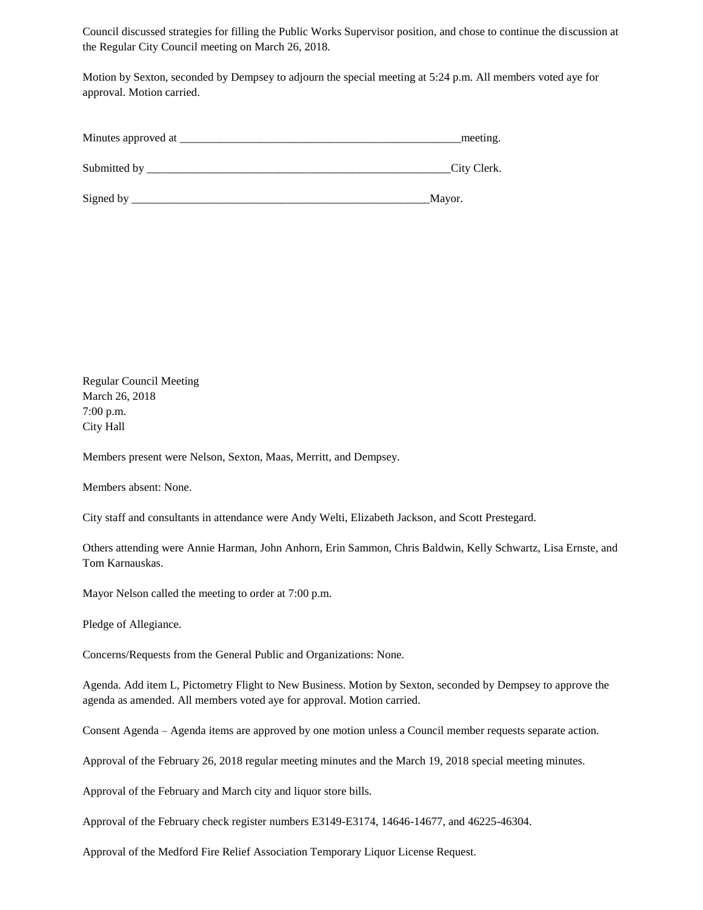Council discussed strategies for filling the Public Works Supervisor position, and chose to continue the discussion at the Regular City Council meeting on March 26, 2018.

Motion by Sexton, seconded by Dempsey to adjourn the special meeting at 5:24 p.m. All members voted aye for approval. Motion carried.

| Minutes approved at | meeting. |  |
|---------------------|----------|--|
|                     |          |  |
|                     |          |  |

Submitted by \_\_\_\_\_\_\_\_\_\_\_\_\_\_\_\_\_\_\_\_\_\_\_\_\_\_\_\_\_\_\_\_\_\_\_\_\_\_\_\_\_\_\_\_\_\_\_\_\_\_\_\_\_City Clerk.

Signed by \_\_\_\_\_\_\_\_\_\_\_\_\_\_\_\_\_\_\_\_\_\_\_\_\_\_\_\_\_\_\_\_\_\_\_\_\_\_\_\_\_\_\_\_\_\_\_\_\_\_\_\_Mayor.

Regular Council Meeting March 26, 2018 7:00 p.m. City Hall

Members present were Nelson, Sexton, Maas, Merritt, and Dempsey.

Members absent: None.

City staff and consultants in attendance were Andy Welti, Elizabeth Jackson, and Scott Prestegard.

Others attending were Annie Harman, John Anhorn, Erin Sammon, Chris Baldwin, Kelly Schwartz, Lisa Ernste, and Tom Karnauskas.

Mayor Nelson called the meeting to order at 7:00 p.m.

Pledge of Allegiance.

Concerns/Requests from the General Public and Organizations: None.

Agenda. Add item L, Pictometry Flight to New Business. Motion by Sexton, seconded by Dempsey to approve the agenda as amended. All members voted aye for approval. Motion carried.

Consent Agenda – Agenda items are approved by one motion unless a Council member requests separate action.

Approval of the February 26, 2018 regular meeting minutes and the March 19, 2018 special meeting minutes.

Approval of the February and March city and liquor store bills.

Approval of the February check register numbers E3149-E3174, 14646-14677, and 46225-46304.

Approval of the Medford Fire Relief Association Temporary Liquor License Request.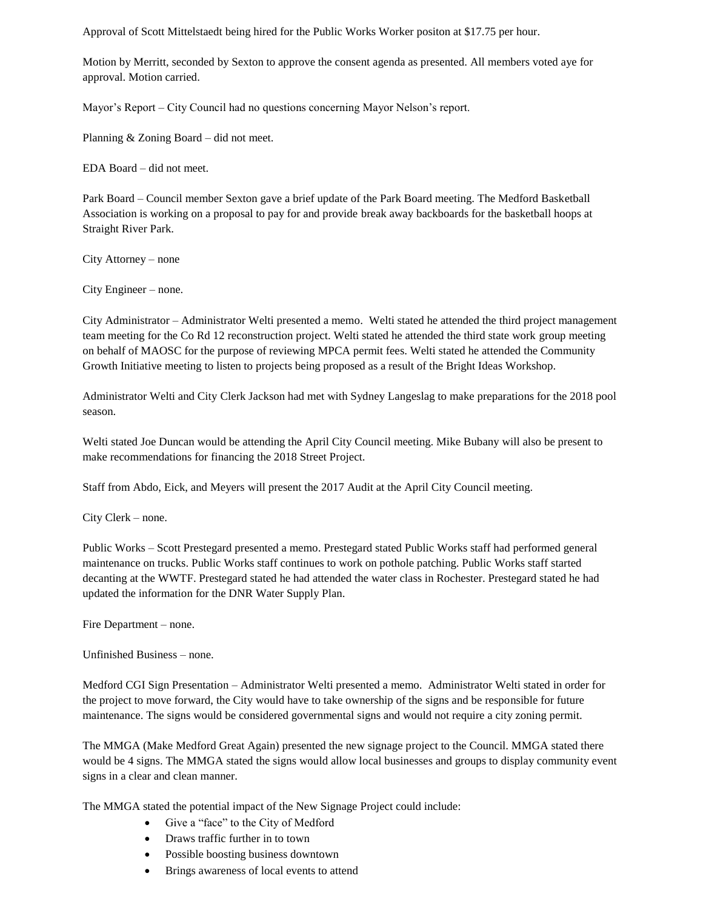Approval of Scott Mittelstaedt being hired for the Public Works Worker positon at \$17.75 per hour.

Motion by Merritt, seconded by Sexton to approve the consent agenda as presented. All members voted aye for approval. Motion carried.

Mayor's Report – City Council had no questions concerning Mayor Nelson's report.

Planning & Zoning Board – did not meet.

EDA Board – did not meet.

Park Board – Council member Sexton gave a brief update of the Park Board meeting. The Medford Basketball Association is working on a proposal to pay for and provide break away backboards for the basketball hoops at Straight River Park.

City Attorney – none

City Engineer – none.

City Administrator – Administrator Welti presented a memo. Welti stated he attended the third project management team meeting for the Co Rd 12 reconstruction project. Welti stated he attended the third state work group meeting on behalf of MAOSC for the purpose of reviewing MPCA permit fees. Welti stated he attended the Community Growth Initiative meeting to listen to projects being proposed as a result of the Bright Ideas Workshop.

Administrator Welti and City Clerk Jackson had met with Sydney Langeslag to make preparations for the 2018 pool season.

Welti stated Joe Duncan would be attending the April City Council meeting. Mike Bubany will also be present to make recommendations for financing the 2018 Street Project.

Staff from Abdo, Eick, and Meyers will present the 2017 Audit at the April City Council meeting.

City Clerk – none.

Public Works – Scott Prestegard presented a memo. Prestegard stated Public Works staff had performed general maintenance on trucks. Public Works staff continues to work on pothole patching. Public Works staff started decanting at the WWTF. Prestegard stated he had attended the water class in Rochester. Prestegard stated he had updated the information for the DNR Water Supply Plan.

Fire Department – none.

Unfinished Business – none.

Medford CGI Sign Presentation – Administrator Welti presented a memo. Administrator Welti stated in order for the project to move forward, the City would have to take ownership of the signs and be responsible for future maintenance. The signs would be considered governmental signs and would not require a city zoning permit.

The MMGA (Make Medford Great Again) presented the new signage project to the Council. MMGA stated there would be 4 signs. The MMGA stated the signs would allow local businesses and groups to display community event signs in a clear and clean manner.

The MMGA stated the potential impact of the New Signage Project could include:

- Give a "face" to the City of Medford
- Draws traffic further in to town
- Possible boosting business downtown
- Brings awareness of local events to attend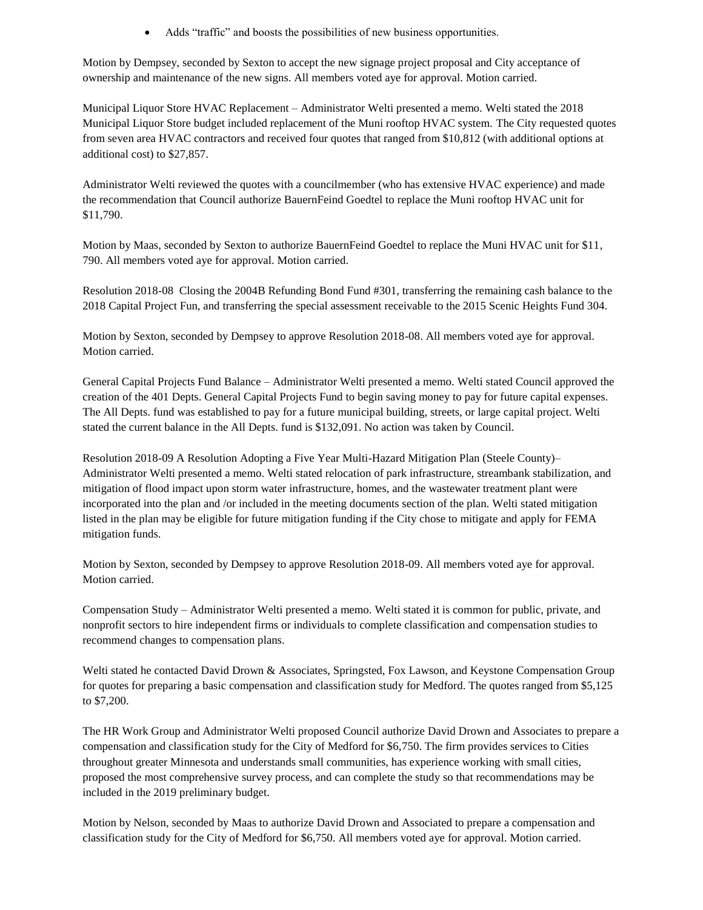Adds "traffic" and boosts the possibilities of new business opportunities.

Motion by Dempsey, seconded by Sexton to accept the new signage project proposal and City acceptance of ownership and maintenance of the new signs. All members voted aye for approval. Motion carried.

Municipal Liquor Store HVAC Replacement – Administrator Welti presented a memo. Welti stated the 2018 Municipal Liquor Store budget included replacement of the Muni rooftop HVAC system. The City requested quotes from seven area HVAC contractors and received four quotes that ranged from \$10,812 (with additional options at additional cost) to \$27,857.

Administrator Welti reviewed the quotes with a councilmember (who has extensive HVAC experience) and made the recommendation that Council authorize BauernFeind Goedtel to replace the Muni rooftop HVAC unit for \$11,790.

Motion by Maas, seconded by Sexton to authorize BauernFeind Goedtel to replace the Muni HVAC unit for \$11, 790. All members voted aye for approval. Motion carried.

Resolution 2018-08 Closing the 2004B Refunding Bond Fund #301, transferring the remaining cash balance to the 2018 Capital Project Fun, and transferring the special assessment receivable to the 2015 Scenic Heights Fund 304.

Motion by Sexton, seconded by Dempsey to approve Resolution 2018-08. All members voted aye for approval. Motion carried.

General Capital Projects Fund Balance – Administrator Welti presented a memo. Welti stated Council approved the creation of the 401 Depts. General Capital Projects Fund to begin saving money to pay for future capital expenses. The All Depts. fund was established to pay for a future municipal building, streets, or large capital project. Welti stated the current balance in the All Depts. fund is \$132,091. No action was taken by Council.

Resolution 2018-09 A Resolution Adopting a Five Year Multi-Hazard Mitigation Plan (Steele County)– Administrator Welti presented a memo. Welti stated relocation of park infrastructure, streambank stabilization, and mitigation of flood impact upon storm water infrastructure, homes, and the wastewater treatment plant were incorporated into the plan and /or included in the meeting documents section of the plan. Welti stated mitigation listed in the plan may be eligible for future mitigation funding if the City chose to mitigate and apply for FEMA mitigation funds.

Motion by Sexton, seconded by Dempsey to approve Resolution 2018-09. All members voted aye for approval. Motion carried.

Compensation Study – Administrator Welti presented a memo. Welti stated it is common for public, private, and nonprofit sectors to hire independent firms or individuals to complete classification and compensation studies to recommend changes to compensation plans.

Welti stated he contacted David Drown & Associates, Springsted, Fox Lawson, and Keystone Compensation Group for quotes for preparing a basic compensation and classification study for Medford. The quotes ranged from \$5,125 to \$7,200.

The HR Work Group and Administrator Welti proposed Council authorize David Drown and Associates to prepare a compensation and classification study for the City of Medford for \$6,750. The firm provides services to Cities throughout greater Minnesota and understands small communities, has experience working with small cities, proposed the most comprehensive survey process, and can complete the study so that recommendations may be included in the 2019 preliminary budget.

Motion by Nelson, seconded by Maas to authorize David Drown and Associated to prepare a compensation and classification study for the City of Medford for \$6,750. All members voted aye for approval. Motion carried.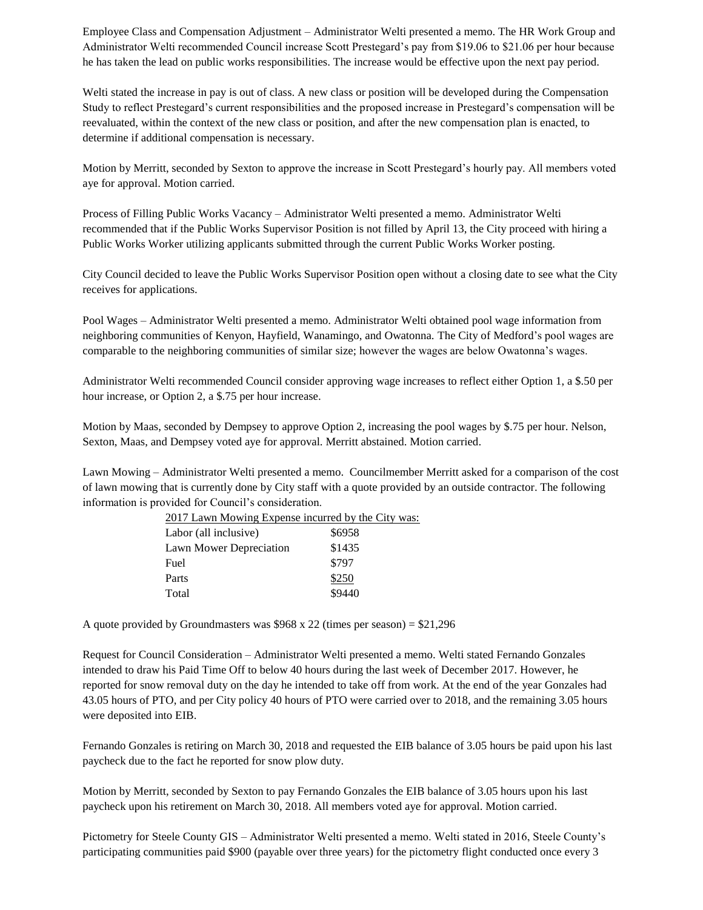Employee Class and Compensation Adjustment – Administrator Welti presented a memo. The HR Work Group and Administrator Welti recommended Council increase Scott Prestegard's pay from \$19.06 to \$21.06 per hour because he has taken the lead on public works responsibilities. The increase would be effective upon the next pay period.

Welti stated the increase in pay is out of class. A new class or position will be developed during the Compensation Study to reflect Prestegard's current responsibilities and the proposed increase in Prestegard's compensation will be reevaluated, within the context of the new class or position, and after the new compensation plan is enacted, to determine if additional compensation is necessary.

Motion by Merritt, seconded by Sexton to approve the increase in Scott Prestegard's hourly pay. All members voted aye for approval. Motion carried.

Process of Filling Public Works Vacancy – Administrator Welti presented a memo. Administrator Welti recommended that if the Public Works Supervisor Position is not filled by April 13, the City proceed with hiring a Public Works Worker utilizing applicants submitted through the current Public Works Worker posting.

City Council decided to leave the Public Works Supervisor Position open without a closing date to see what the City receives for applications.

Pool Wages – Administrator Welti presented a memo. Administrator Welti obtained pool wage information from neighboring communities of Kenyon, Hayfield, Wanamingo, and Owatonna. The City of Medford's pool wages are comparable to the neighboring communities of similar size; however the wages are below Owatonna's wages.

Administrator Welti recommended Council consider approving wage increases to reflect either Option 1, a \$.50 per hour increase, or Option 2, a \$.75 per hour increase.

Motion by Maas, seconded by Dempsey to approve Option 2, increasing the pool wages by \$.75 per hour. Nelson, Sexton, Maas, and Dempsey voted aye for approval. Merritt abstained. Motion carried.

Lawn Mowing – Administrator Welti presented a memo. Councilmember Merritt asked for a comparison of the cost of lawn mowing that is currently done by City staff with a quote provided by an outside contractor. The following information is provided for Council's consideration.

| 2017 Lawn Mowing Expense incurred by the City was: |        |  |
|----------------------------------------------------|--------|--|
| Labor (all inclusive)                              | \$6958 |  |
| Lawn Mower Depreciation                            | \$1435 |  |
| Fuel                                               | \$797  |  |
| Parts                                              | \$250  |  |
| Total                                              | \$9440 |  |

A quote provided by Groundmasters was \$968 x 22 (times per season) = \$21,296

Request for Council Consideration – Administrator Welti presented a memo. Welti stated Fernando Gonzales intended to draw his Paid Time Off to below 40 hours during the last week of December 2017. However, he reported for snow removal duty on the day he intended to take off from work. At the end of the year Gonzales had 43.05 hours of PTO, and per City policy 40 hours of PTO were carried over to 2018, and the remaining 3.05 hours were deposited into EIB.

Fernando Gonzales is retiring on March 30, 2018 and requested the EIB balance of 3.05 hours be paid upon his last paycheck due to the fact he reported for snow plow duty.

Motion by Merritt, seconded by Sexton to pay Fernando Gonzales the EIB balance of 3.05 hours upon his last paycheck upon his retirement on March 30, 2018. All members voted aye for approval. Motion carried.

Pictometry for Steele County GIS – Administrator Welti presented a memo. Welti stated in 2016, Steele County's participating communities paid \$900 (payable over three years) for the pictometry flight conducted once every 3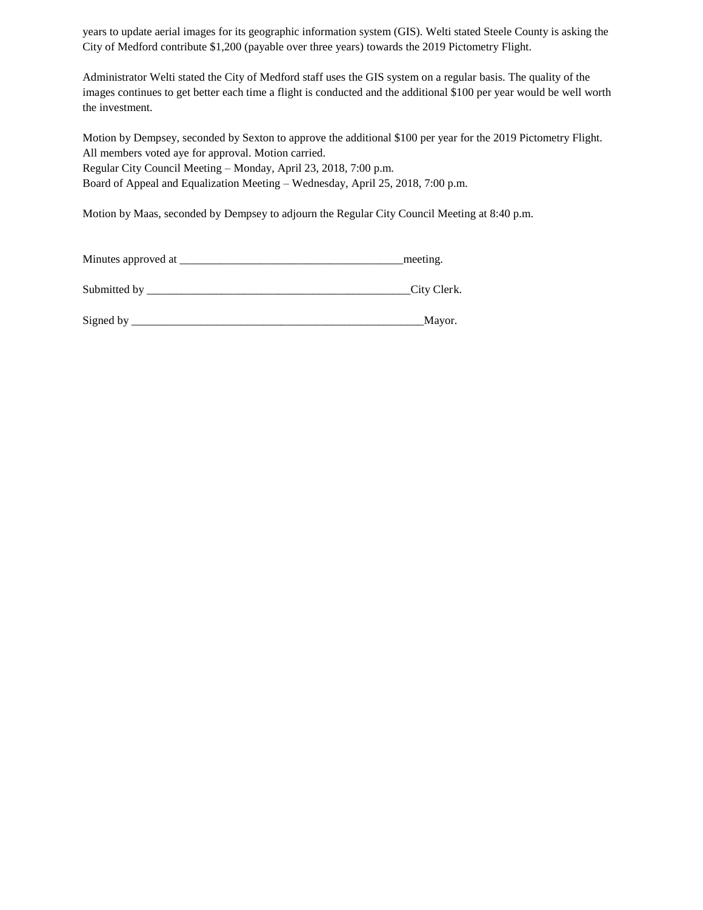years to update aerial images for its geographic information system (GIS). Welti stated Steele County is asking the City of Medford contribute \$1,200 (payable over three years) towards the 2019 Pictometry Flight.

Administrator Welti stated the City of Medford staff uses the GIS system on a regular basis. The quality of the images continues to get better each time a flight is conducted and the additional \$100 per year would be well worth the investment.

Motion by Dempsey, seconded by Sexton to approve the additional \$100 per year for the 2019 Pictometry Flight. All members voted aye for approval. Motion carried. Regular City Council Meeting – Monday, April 23, 2018, 7:00 p.m. Board of Appeal and Equalization Meeting – Wednesday, April 25, 2018, 7:00 p.m.

Motion by Maas, seconded by Dempsey to adjourn the Regular City Council Meeting at 8:40 p.m.

| Minutes approved at | meeting.    |
|---------------------|-------------|
|                     |             |
| Submitted by        | City Clerk. |

| Signeo |   |
|--------|---|
|        | . |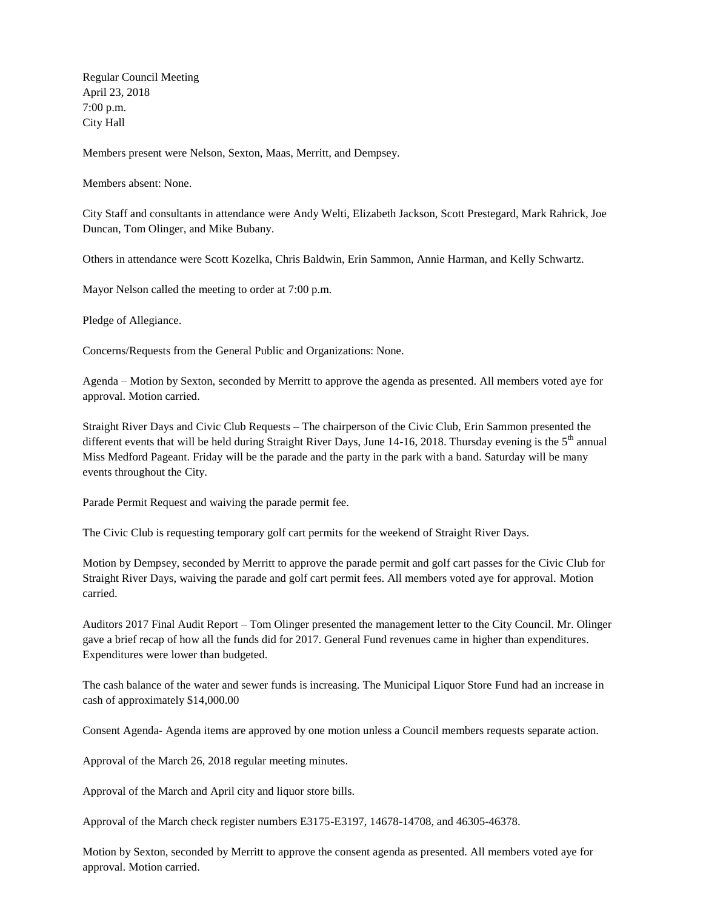Regular Council Meeting April 23, 2018 7:00 p.m. City Hall

Members present were Nelson, Sexton, Maas, Merritt, and Dempsey.

Members absent: None.

City Staff and consultants in attendance were Andy Welti, Elizabeth Jackson, Scott Prestegard, Mark Rahrick, Joe Duncan, Tom Olinger, and Mike Bubany.

Others in attendance were Scott Kozelka, Chris Baldwin, Erin Sammon, Annie Harman, and Kelly Schwartz.

Mayor Nelson called the meeting to order at 7:00 p.m.

Pledge of Allegiance.

Concerns/Requests from the General Public and Organizations: None.

Agenda – Motion by Sexton, seconded by Merritt to approve the agenda as presented. All members voted aye for approval. Motion carried.

Straight River Days and Civic Club Requests – The chairperson of the Civic Club, Erin Sammon presented the different events that will be held during Straight River Days, June 14-16, 2018. Thursday evening is the  $5<sup>th</sup>$  annual Miss Medford Pageant. Friday will be the parade and the party in the park with a band. Saturday will be many events throughout the City.

Parade Permit Request and waiving the parade permit fee.

The Civic Club is requesting temporary golf cart permits for the weekend of Straight River Days.

Motion by Dempsey, seconded by Merritt to approve the parade permit and golf cart passes for the Civic Club for Straight River Days, waiving the parade and golf cart permit fees. All members voted aye for approval. Motion carried.

Auditors 2017 Final Audit Report – Tom Olinger presented the management letter to the City Council. Mr. Olinger gave a brief recap of how all the funds did for 2017. General Fund revenues came in higher than expenditures. Expenditures were lower than budgeted.

The cash balance of the water and sewer funds is increasing. The Municipal Liquor Store Fund had an increase in cash of approximately \$14,000.00

Consent Agenda- Agenda items are approved by one motion unless a Council members requests separate action.

Approval of the March 26, 2018 regular meeting minutes.

Approval of the March and April city and liquor store bills.

Approval of the March check register numbers E3175-E3197, 14678-14708, and 46305-46378.

Motion by Sexton, seconded by Merritt to approve the consent agenda as presented. All members voted aye for approval. Motion carried.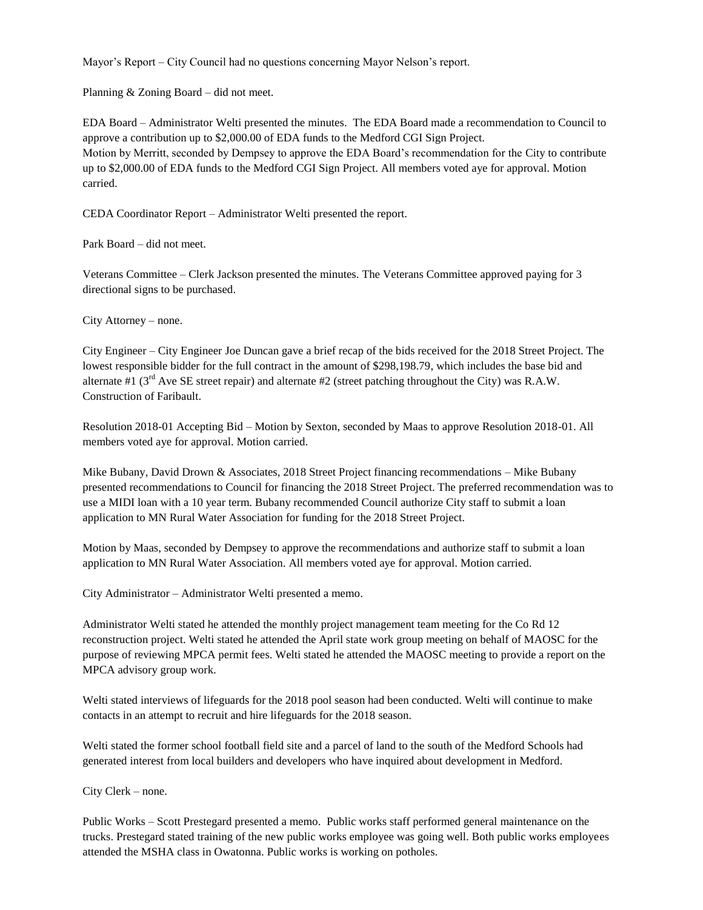Mayor's Report – City Council had no questions concerning Mayor Nelson's report.

Planning & Zoning Board – did not meet.

EDA Board – Administrator Welti presented the minutes. The EDA Board made a recommendation to Council to approve a contribution up to \$2,000.00 of EDA funds to the Medford CGI Sign Project. Motion by Merritt, seconded by Dempsey to approve the EDA Board's recommendation for the City to contribute up to \$2,000.00 of EDA funds to the Medford CGI Sign Project. All members voted aye for approval. Motion carried.

CEDA Coordinator Report – Administrator Welti presented the report.

Park Board – did not meet.

Veterans Committee – Clerk Jackson presented the minutes. The Veterans Committee approved paying for 3 directional signs to be purchased.

City Attorney – none.

City Engineer – City Engineer Joe Duncan gave a brief recap of the bids received for the 2018 Street Project. The lowest responsible bidder for the full contract in the amount of \$298,198.79, which includes the base bid and alternate #1 ( $3<sup>rd</sup>$  Ave SE street repair) and alternate #2 (street patching throughout the City) was R.A.W. Construction of Faribault.

Resolution 2018-01 Accepting Bid – Motion by Sexton, seconded by Maas to approve Resolution 2018-01. All members voted aye for approval. Motion carried.

Mike Bubany, David Drown & Associates, 2018 Street Project financing recommendations – Mike Bubany presented recommendations to Council for financing the 2018 Street Project. The preferred recommendation was to use a MIDI loan with a 10 year term. Bubany recommended Council authorize City staff to submit a loan application to MN Rural Water Association for funding for the 2018 Street Project.

Motion by Maas, seconded by Dempsey to approve the recommendations and authorize staff to submit a loan application to MN Rural Water Association. All members voted aye for approval. Motion carried.

City Administrator – Administrator Welti presented a memo.

Administrator Welti stated he attended the monthly project management team meeting for the Co Rd 12 reconstruction project. Welti stated he attended the April state work group meeting on behalf of MAOSC for the purpose of reviewing MPCA permit fees. Welti stated he attended the MAOSC meeting to provide a report on the MPCA advisory group work.

Welti stated interviews of lifeguards for the 2018 pool season had been conducted. Welti will continue to make contacts in an attempt to recruit and hire lifeguards for the 2018 season.

Welti stated the former school football field site and a parcel of land to the south of the Medford Schools had generated interest from local builders and developers who have inquired about development in Medford.

City Clerk – none.

Public Works – Scott Prestegard presented a memo. Public works staff performed general maintenance on the trucks. Prestegard stated training of the new public works employee was going well. Both public works employees attended the MSHA class in Owatonna. Public works is working on potholes.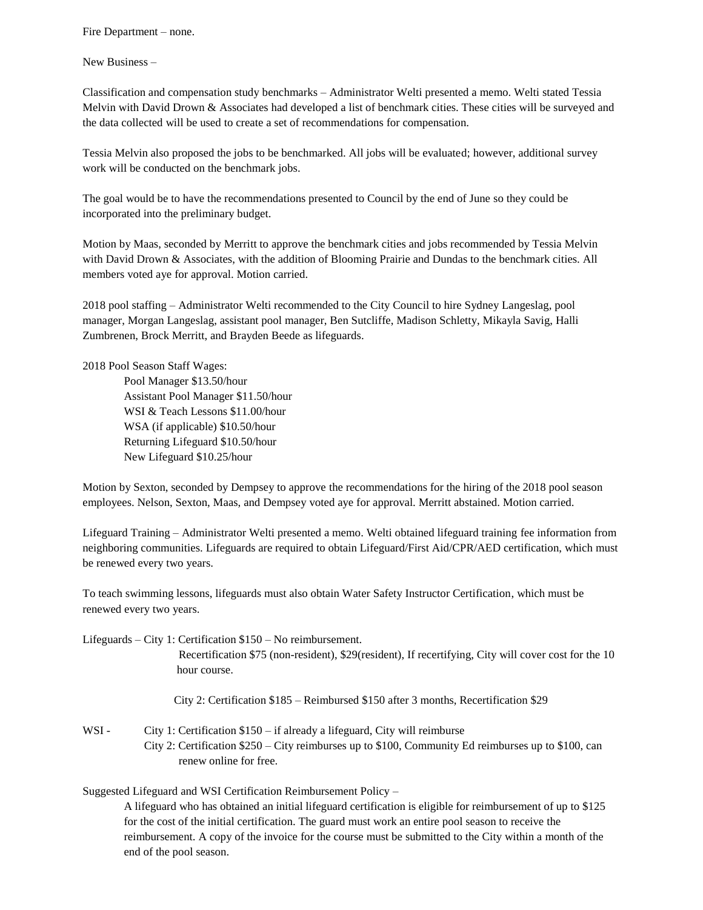Fire Department – none.

New Business –

Classification and compensation study benchmarks – Administrator Welti presented a memo. Welti stated Tessia Melvin with David Drown & Associates had developed a list of benchmark cities. These cities will be surveyed and the data collected will be used to create a set of recommendations for compensation.

Tessia Melvin also proposed the jobs to be benchmarked. All jobs will be evaluated; however, additional survey work will be conducted on the benchmark jobs.

The goal would be to have the recommendations presented to Council by the end of June so they could be incorporated into the preliminary budget.

Motion by Maas, seconded by Merritt to approve the benchmark cities and jobs recommended by Tessia Melvin with David Drown & Associates, with the addition of Blooming Prairie and Dundas to the benchmark cities. All members voted aye for approval. Motion carried.

2018 pool staffing – Administrator Welti recommended to the City Council to hire Sydney Langeslag, pool manager, Morgan Langeslag, assistant pool manager, Ben Sutcliffe, Madison Schletty, Mikayla Savig, Halli Zumbrenen, Brock Merritt, and Brayden Beede as lifeguards.

2018 Pool Season Staff Wages:

Pool Manager \$13.50/hour Assistant Pool Manager \$11.50/hour WSI & Teach Lessons \$11.00/hour WSA (if applicable) \$10.50/hour Returning Lifeguard \$10.50/hour New Lifeguard \$10.25/hour

Motion by Sexton, seconded by Dempsey to approve the recommendations for the hiring of the 2018 pool season employees. Nelson, Sexton, Maas, and Dempsey voted aye for approval. Merritt abstained. Motion carried.

Lifeguard Training – Administrator Welti presented a memo. Welti obtained lifeguard training fee information from neighboring communities. Lifeguards are required to obtain Lifeguard/First Aid/CPR/AED certification, which must be renewed every two years.

To teach swimming lessons, lifeguards must also obtain Water Safety Instructor Certification, which must be renewed every two years.

Lifeguards – City 1: Certification \$150 – No reimbursement.

 Recertification \$75 (non-resident), \$29(resident), If recertifying, City will cover cost for the 10 hour course.

City 2: Certification \$185 – Reimbursed \$150 after 3 months, Recertification \$29

WSI - City 1: Certification  $$150 - if$  already a lifeguard, City will reimburse City 2: Certification \$250 – City reimburses up to \$100, Community Ed reimburses up to \$100, can renew online for free.

Suggested Lifeguard and WSI Certification Reimbursement Policy –

A lifeguard who has obtained an initial lifeguard certification is eligible for reimbursement of up to \$125 for the cost of the initial certification. The guard must work an entire pool season to receive the reimbursement. A copy of the invoice for the course must be submitted to the City within a month of the end of the pool season.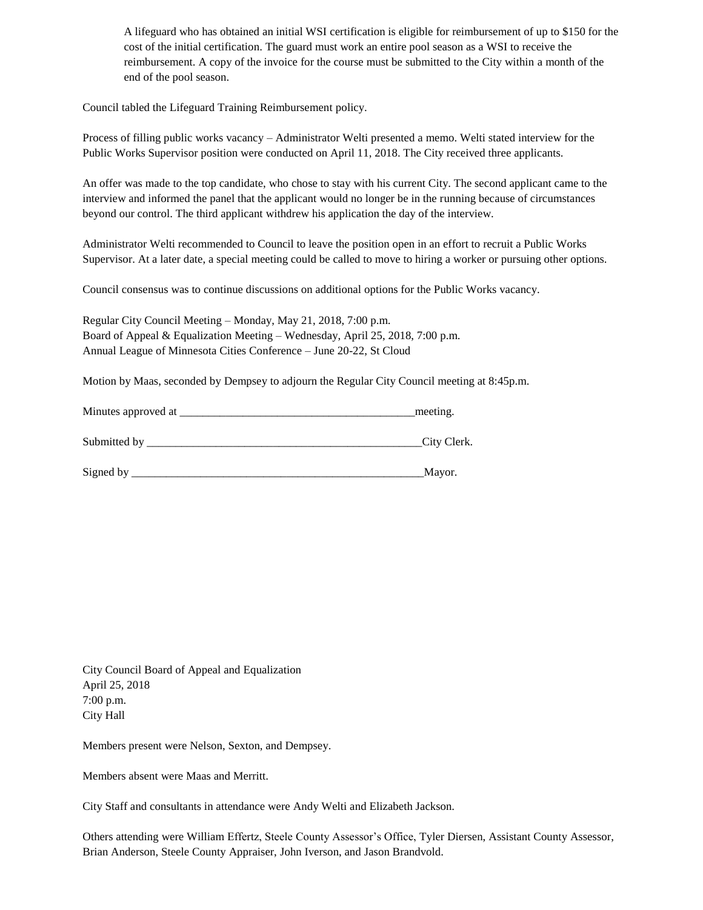A lifeguard who has obtained an initial WSI certification is eligible for reimbursement of up to \$150 for the cost of the initial certification. The guard must work an entire pool season as a WSI to receive the reimbursement. A copy of the invoice for the course must be submitted to the City within a month of the end of the pool season.

Council tabled the Lifeguard Training Reimbursement policy.

Process of filling public works vacancy – Administrator Welti presented a memo. Welti stated interview for the Public Works Supervisor position were conducted on April 11, 2018. The City received three applicants.

An offer was made to the top candidate, who chose to stay with his current City. The second applicant came to the interview and informed the panel that the applicant would no longer be in the running because of circumstances beyond our control. The third applicant withdrew his application the day of the interview.

Administrator Welti recommended to Council to leave the position open in an effort to recruit a Public Works Supervisor. At a later date, a special meeting could be called to move to hiring a worker or pursuing other options.

Council consensus was to continue discussions on additional options for the Public Works vacancy.

Regular City Council Meeting – Monday, May 21, 2018, 7:00 p.m. Board of Appeal & Equalization Meeting – Wednesday, April 25, 2018, 7:00 p.m. Annual League of Minnesota Cities Conference – June 20-22, St Cloud

Motion by Maas, seconded by Dempsey to adjourn the Regular City Council meeting at 8:45p.m.

| Minutes approved at | meeting.    |
|---------------------|-------------|
| Submitted by        | City Clerk. |
| Signed by           | Mayor.      |

City Council Board of Appeal and Equalization April 25, 2018 7:00 p.m. City Hall

Members present were Nelson, Sexton, and Dempsey.

Members absent were Maas and Merritt.

City Staff and consultants in attendance were Andy Welti and Elizabeth Jackson.

Others attending were William Effertz, Steele County Assessor's Office, Tyler Diersen, Assistant County Assessor, Brian Anderson, Steele County Appraiser, John Iverson, and Jason Brandvold.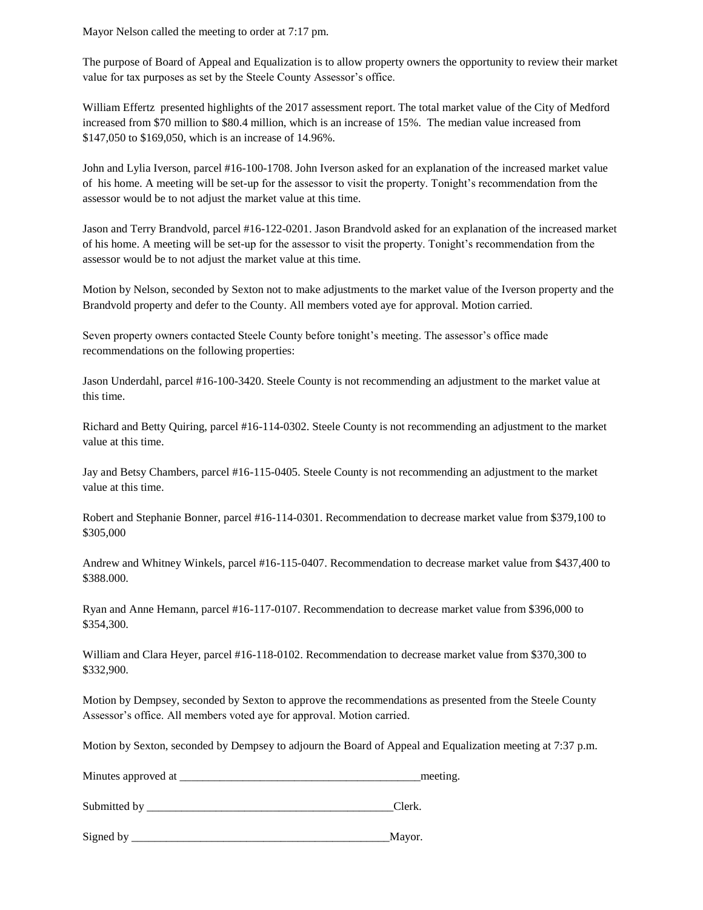Mayor Nelson called the meeting to order at 7:17 pm.

The purpose of Board of Appeal and Equalization is to allow property owners the opportunity to review their market value for tax purposes as set by the Steele County Assessor's office.

William Effertz presented highlights of the 2017 assessment report. The total market value of the City of Medford increased from \$70 million to \$80.4 million, which is an increase of 15%. The median value increased from \$147,050 to \$169,050, which is an increase of 14.96%.

John and Lylia Iverson, parcel #16-100-1708. John Iverson asked for an explanation of the increased market value of his home. A meeting will be set-up for the assessor to visit the property. Tonight's recommendation from the assessor would be to not adjust the market value at this time.

Jason and Terry Brandvold, parcel #16-122-0201. Jason Brandvold asked for an explanation of the increased market of his home. A meeting will be set-up for the assessor to visit the property. Tonight's recommendation from the assessor would be to not adjust the market value at this time.

Motion by Nelson, seconded by Sexton not to make adjustments to the market value of the Iverson property and the Brandvold property and defer to the County. All members voted aye for approval. Motion carried.

Seven property owners contacted Steele County before tonight's meeting. The assessor's office made recommendations on the following properties:

Jason Underdahl, parcel #16-100-3420. Steele County is not recommending an adjustment to the market value at this time.

Richard and Betty Quiring, parcel #16-114-0302. Steele County is not recommending an adjustment to the market value at this time.

Jay and Betsy Chambers, parcel #16-115-0405. Steele County is not recommending an adjustment to the market value at this time.

Robert and Stephanie Bonner, parcel #16-114-0301. Recommendation to decrease market value from \$379,100 to \$305,000

Andrew and Whitney Winkels, parcel #16-115-0407. Recommendation to decrease market value from \$437,400 to \$388.000.

Ryan and Anne Hemann, parcel #16-117-0107. Recommendation to decrease market value from \$396,000 to \$354,300.

William and Clara Heyer, parcel #16-118-0102. Recommendation to decrease market value from \$370,300 to \$332,900.

Motion by Dempsey, seconded by Sexton to approve the recommendations as presented from the Steele County Assessor's office. All members voted aye for approval. Motion carried.

Motion by Sexton, seconded by Dempsey to adjourn the Board of Appeal and Equalization meeting at 7:37 p.m.

Minutes approved at the meeting.

Submitted by  $\Box$ 

Signed by \_\_\_\_\_\_\_\_\_\_\_\_\_\_\_\_\_\_\_\_\_\_\_\_\_\_\_\_\_\_\_\_\_\_\_\_\_\_\_\_\_\_\_\_\_Mayor.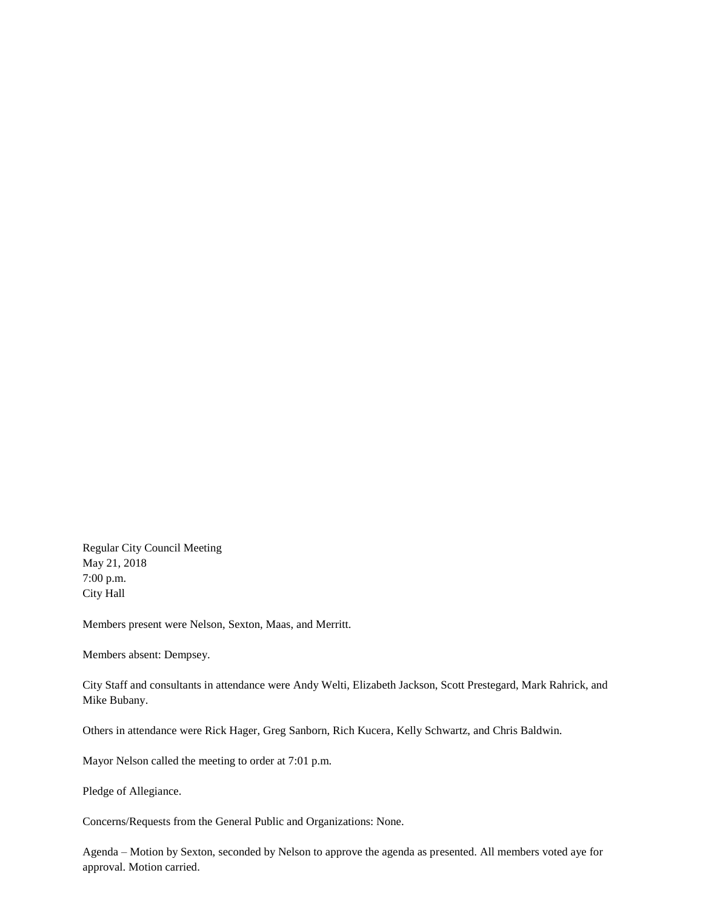Regular City Council Meeting May 21, 2018 7:00 p.m. City Hall

Members present were Nelson, Sexton, Maas, and Merritt.

Members absent: Dempsey.

City Staff and consultants in attendance were Andy Welti, Elizabeth Jackson, Scott Prestegard, Mark Rahrick, and Mike Bubany.

Others in attendance were Rick Hager, Greg Sanborn, Rich Kucera, Kelly Schwartz, and Chris Baldwin.

Mayor Nelson called the meeting to order at 7:01 p.m.

Pledge of Allegiance.

Concerns/Requests from the General Public and Organizations: None.

Agenda – Motion by Sexton, seconded by Nelson to approve the agenda as presented. All members voted aye for approval. Motion carried.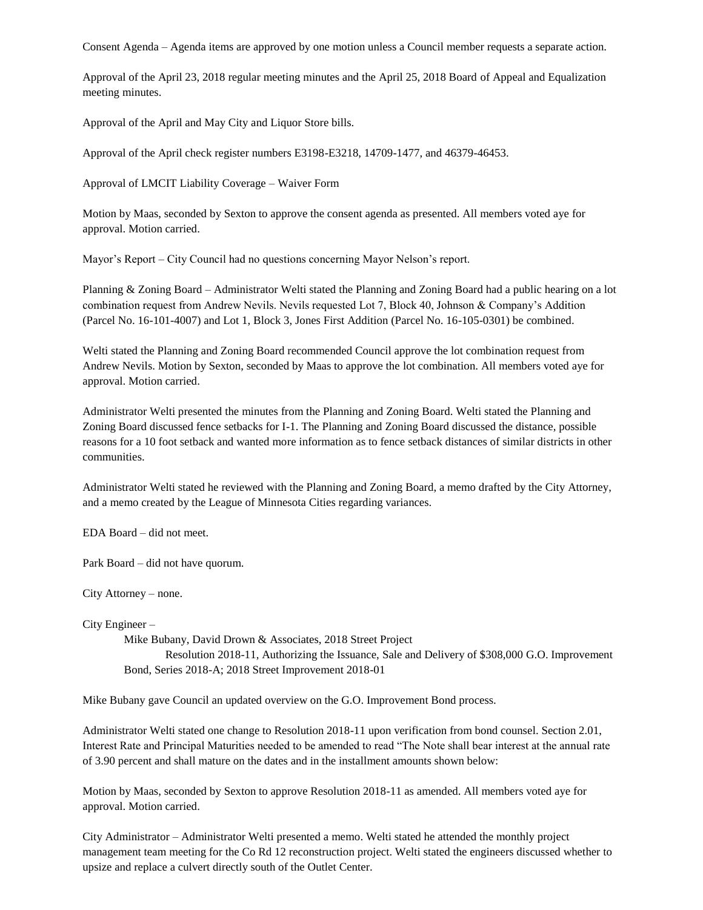Consent Agenda – Agenda items are approved by one motion unless a Council member requests a separate action.

Approval of the April 23, 2018 regular meeting minutes and the April 25, 2018 Board of Appeal and Equalization meeting minutes.

Approval of the April and May City and Liquor Store bills.

Approval of the April check register numbers E3198-E3218, 14709-1477, and 46379-46453.

Approval of LMCIT Liability Coverage – Waiver Form

Motion by Maas, seconded by Sexton to approve the consent agenda as presented. All members voted aye for approval. Motion carried.

Mayor's Report – City Council had no questions concerning Mayor Nelson's report.

Planning & Zoning Board – Administrator Welti stated the Planning and Zoning Board had a public hearing on a lot combination request from Andrew Nevils. Nevils requested Lot 7, Block 40, Johnson & Company's Addition (Parcel No. 16-101-4007) and Lot 1, Block 3, Jones First Addition (Parcel No. 16-105-0301) be combined.

Welti stated the Planning and Zoning Board recommended Council approve the lot combination request from Andrew Nevils. Motion by Sexton, seconded by Maas to approve the lot combination. All members voted aye for approval. Motion carried.

Administrator Welti presented the minutes from the Planning and Zoning Board. Welti stated the Planning and Zoning Board discussed fence setbacks for I-1. The Planning and Zoning Board discussed the distance, possible reasons for a 10 foot setback and wanted more information as to fence setback distances of similar districts in other communities.

Administrator Welti stated he reviewed with the Planning and Zoning Board, a memo drafted by the City Attorney, and a memo created by the League of Minnesota Cities regarding variances.

EDA Board – did not meet.

Park Board – did not have quorum.

City Attorney – none.

City Engineer –

Mike Bubany, David Drown & Associates, 2018 Street Project Resolution 2018-11, Authorizing the Issuance, Sale and Delivery of \$308,000 G.O. Improvement Bond, Series 2018-A; 2018 Street Improvement 2018-01

Mike Bubany gave Council an updated overview on the G.O. Improvement Bond process.

Administrator Welti stated one change to Resolution 2018-11 upon verification from bond counsel. Section 2.01, Interest Rate and Principal Maturities needed to be amended to read "The Note shall bear interest at the annual rate of 3.90 percent and shall mature on the dates and in the installment amounts shown below:

Motion by Maas, seconded by Sexton to approve Resolution 2018-11 as amended. All members voted aye for approval. Motion carried.

City Administrator – Administrator Welti presented a memo. Welti stated he attended the monthly project management team meeting for the Co Rd 12 reconstruction project. Welti stated the engineers discussed whether to upsize and replace a culvert directly south of the Outlet Center.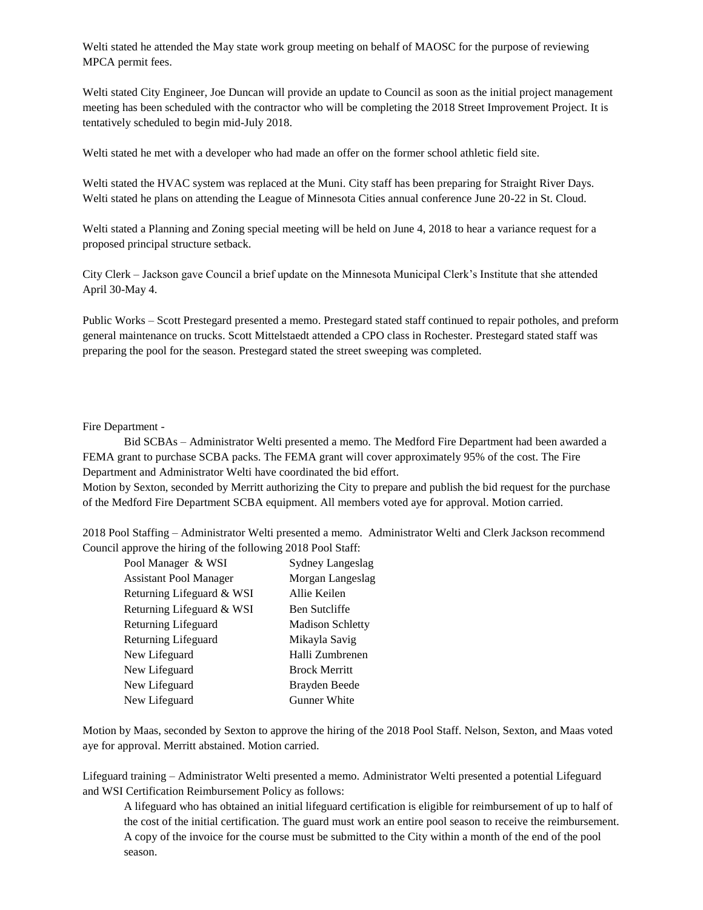Welti stated he attended the May state work group meeting on behalf of MAOSC for the purpose of reviewing MPCA permit fees.

Welti stated City Engineer, Joe Duncan will provide an update to Council as soon as the initial project management meeting has been scheduled with the contractor who will be completing the 2018 Street Improvement Project. It is tentatively scheduled to begin mid-July 2018.

Welti stated he met with a developer who had made an offer on the former school athletic field site.

Welti stated the HVAC system was replaced at the Muni. City staff has been preparing for Straight River Days. Welti stated he plans on attending the League of Minnesota Cities annual conference June 20-22 in St. Cloud.

Welti stated a Planning and Zoning special meeting will be held on June 4, 2018 to hear a variance request for a proposed principal structure setback.

City Clerk – Jackson gave Council a brief update on the Minnesota Municipal Clerk's Institute that she attended April 30-May 4.

Public Works – Scott Prestegard presented a memo. Prestegard stated staff continued to repair potholes, and preform general maintenance on trucks. Scott Mittelstaedt attended a CPO class in Rochester. Prestegard stated staff was preparing the pool for the season. Prestegard stated the street sweeping was completed.

### Fire Department -

Bid SCBAs – Administrator Welti presented a memo. The Medford Fire Department had been awarded a FEMA grant to purchase SCBA packs. The FEMA grant will cover approximately 95% of the cost. The Fire Department and Administrator Welti have coordinated the bid effort.

Motion by Sexton, seconded by Merritt authorizing the City to prepare and publish the bid request for the purchase of the Medford Fire Department SCBA equipment. All members voted aye for approval. Motion carried.

2018 Pool Staffing – Administrator Welti presented a memo. Administrator Welti and Clerk Jackson recommend Council approve the hiring of the following 2018 Pool Staff:

| Pool Manager & WSI            | Sydney Langeslag        |
|-------------------------------|-------------------------|
| <b>Assistant Pool Manager</b> | Morgan Langeslag        |
| Returning Lifeguard & WSI     | Allie Keilen            |
| Returning Lifeguard & WSI     | <b>Ben Sutcliffe</b>    |
| Returning Lifeguard           | <b>Madison Schletty</b> |
| Returning Lifeguard           | Mikayla Savig           |
| New Lifeguard                 | Halli Zumbrenen         |
| New Lifeguard                 | <b>Brock Merritt</b>    |
| New Lifeguard                 | Brayden Beede           |
| New Lifeguard                 | <b>Gunner White</b>     |
|                               |                         |

Motion by Maas, seconded by Sexton to approve the hiring of the 2018 Pool Staff. Nelson, Sexton, and Maas voted aye for approval. Merritt abstained. Motion carried.

Lifeguard training – Administrator Welti presented a memo. Administrator Welti presented a potential Lifeguard and WSI Certification Reimbursement Policy as follows:

A lifeguard who has obtained an initial lifeguard certification is eligible for reimbursement of up to half of the cost of the initial certification. The guard must work an entire pool season to receive the reimbursement. A copy of the invoice for the course must be submitted to the City within a month of the end of the pool season.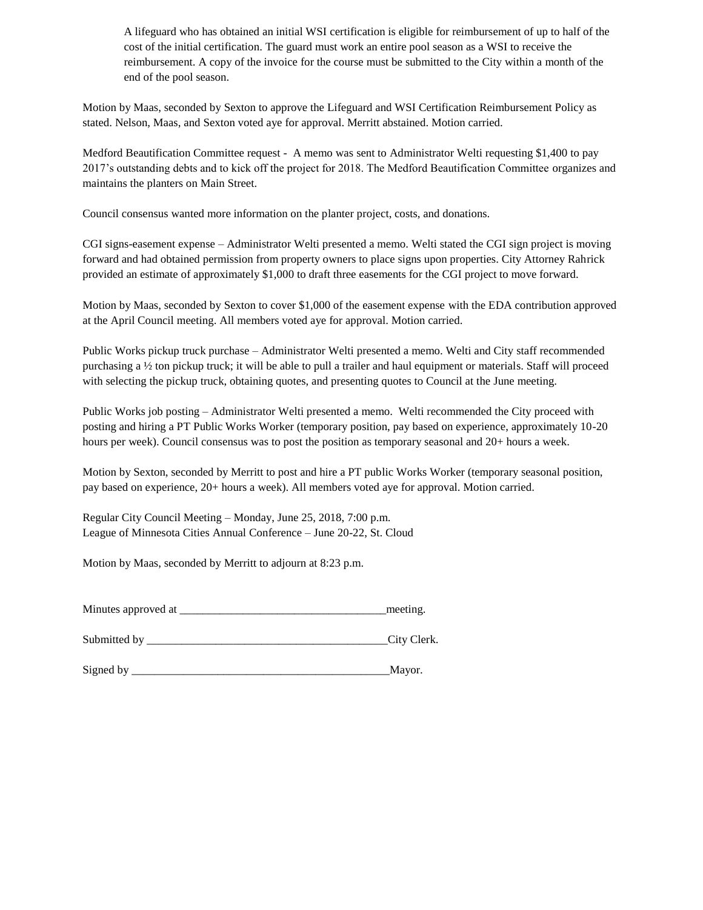A lifeguard who has obtained an initial WSI certification is eligible for reimbursement of up to half of the cost of the initial certification. The guard must work an entire pool season as a WSI to receive the reimbursement. A copy of the invoice for the course must be submitted to the City within a month of the end of the pool season.

Motion by Maas, seconded by Sexton to approve the Lifeguard and WSI Certification Reimbursement Policy as stated. Nelson, Maas, and Sexton voted aye for approval. Merritt abstained. Motion carried.

Medford Beautification Committee request - A memo was sent to Administrator Welti requesting \$1,400 to pay 2017's outstanding debts and to kick off the project for 2018. The Medford Beautification Committee organizes and maintains the planters on Main Street.

Council consensus wanted more information on the planter project, costs, and donations.

CGI signs-easement expense – Administrator Welti presented a memo. Welti stated the CGI sign project is moving forward and had obtained permission from property owners to place signs upon properties. City Attorney Rahrick provided an estimate of approximately \$1,000 to draft three easements for the CGI project to move forward.

Motion by Maas, seconded by Sexton to cover \$1,000 of the easement expense with the EDA contribution approved at the April Council meeting. All members voted aye for approval. Motion carried.

Public Works pickup truck purchase – Administrator Welti presented a memo. Welti and City staff recommended purchasing a ½ ton pickup truck; it will be able to pull a trailer and haul equipment or materials. Staff will proceed with selecting the pickup truck, obtaining quotes, and presenting quotes to Council at the June meeting.

Public Works job posting – Administrator Welti presented a memo. Welti recommended the City proceed with posting and hiring a PT Public Works Worker (temporary position, pay based on experience, approximately 10-20 hours per week). Council consensus was to post the position as temporary seasonal and 20+ hours a week.

Motion by Sexton, seconded by Merritt to post and hire a PT public Works Worker (temporary seasonal position, pay based on experience, 20+ hours a week). All members voted aye for approval. Motion carried.

Regular City Council Meeting – Monday, June 25, 2018, 7:00 p.m. League of Minnesota Cities Annual Conference – June 20-22, St. Cloud

Motion by Maas, seconded by Merritt to adjourn at 8:23 p.m.

| Minutes approved at | meeting. |
|---------------------|----------|
|                     |          |

Submitted by \_\_\_\_\_\_\_\_\_\_\_\_\_\_\_\_\_\_\_\_\_\_\_\_\_\_\_\_\_\_\_\_\_\_\_\_\_\_\_\_\_\_City Clerk.

Signed by \_\_\_\_\_\_\_\_\_\_\_\_\_\_\_\_\_\_\_\_\_\_\_\_\_\_\_\_\_\_\_\_\_\_\_\_\_\_\_\_\_\_\_\_\_Mayor.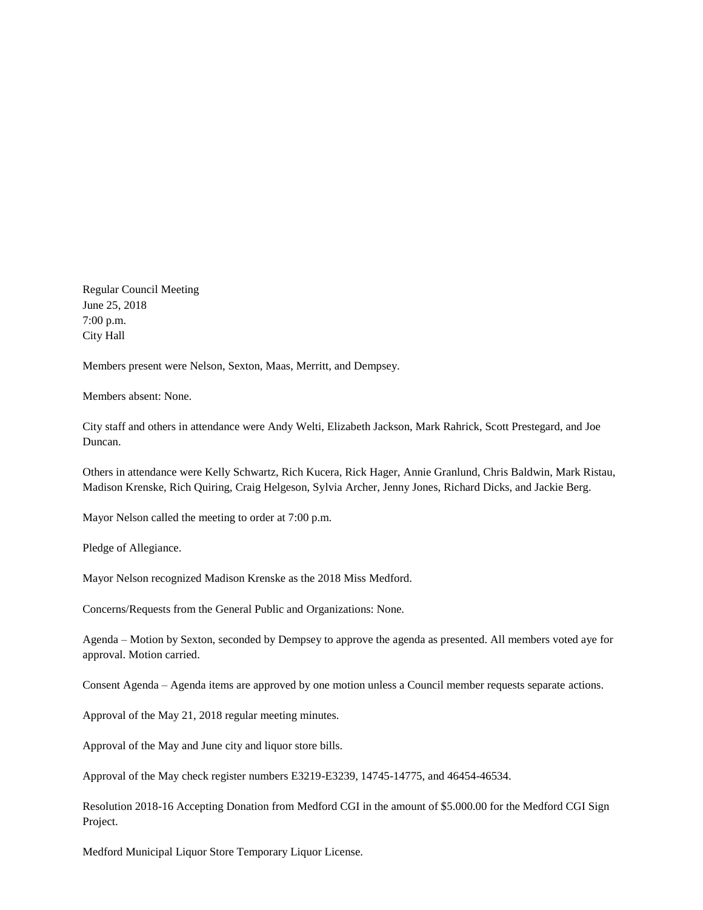Regular Council Meeting June 25, 2018 7:00 p.m. City Hall

Members present were Nelson, Sexton, Maas, Merritt, and Dempsey.

Members absent: None.

City staff and others in attendance were Andy Welti, Elizabeth Jackson, Mark Rahrick, Scott Prestegard, and Joe Duncan.

Others in attendance were Kelly Schwartz, Rich Kucera, Rick Hager, Annie Granlund, Chris Baldwin, Mark Ristau, Madison Krenske, Rich Quiring, Craig Helgeson, Sylvia Archer, Jenny Jones, Richard Dicks, and Jackie Berg.

Mayor Nelson called the meeting to order at 7:00 p.m.

Pledge of Allegiance.

Mayor Nelson recognized Madison Krenske as the 2018 Miss Medford.

Concerns/Requests from the General Public and Organizations: None.

Agenda – Motion by Sexton, seconded by Dempsey to approve the agenda as presented. All members voted aye for approval. Motion carried.

Consent Agenda – Agenda items are approved by one motion unless a Council member requests separate actions.

Approval of the May 21, 2018 regular meeting minutes.

Approval of the May and June city and liquor store bills.

Approval of the May check register numbers E3219-E3239, 14745-14775, and 46454-46534.

Resolution 2018-16 Accepting Donation from Medford CGI in the amount of \$5.000.00 for the Medford CGI Sign Project.

Medford Municipal Liquor Store Temporary Liquor License.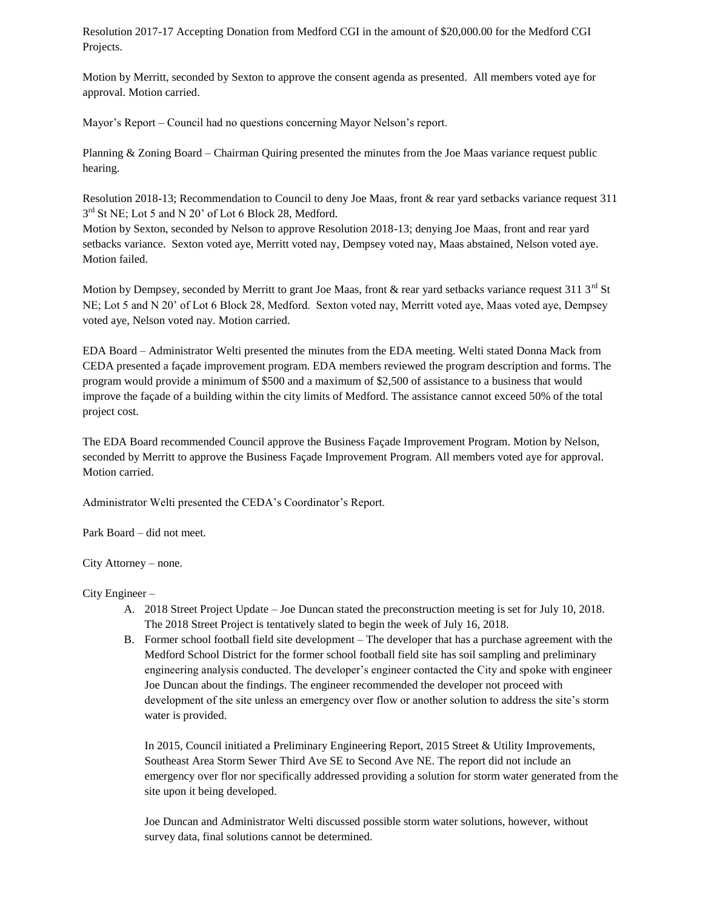Resolution 2017-17 Accepting Donation from Medford CGI in the amount of \$20,000.00 for the Medford CGI Projects.

Motion by Merritt, seconded by Sexton to approve the consent agenda as presented. All members voted aye for approval. Motion carried.

Mayor's Report – Council had no questions concerning Mayor Nelson's report.

Planning & Zoning Board – Chairman Quiring presented the minutes from the Joe Maas variance request public hearing.

Resolution 2018-13; Recommendation to Council to deny Joe Maas, front & rear yard setbacks variance request 311 3<sup>rd</sup> St NE; Lot 5 and N 20' of Lot 6 Block 28, Medford.

Motion by Sexton, seconded by Nelson to approve Resolution 2018-13; denying Joe Maas, front and rear yard setbacks variance. Sexton voted aye, Merritt voted nay, Dempsey voted nay, Maas abstained, Nelson voted aye. Motion failed.

Motion by Dempsey, seconded by Merritt to grant Joe Maas, front  $\&$  rear yard setbacks variance request 311 3<sup>rd</sup> St NE; Lot 5 and N 20' of Lot 6 Block 28, Medford. Sexton voted nay, Merritt voted aye, Maas voted aye, Dempsey voted aye, Nelson voted nay. Motion carried.

EDA Board – Administrator Welti presented the minutes from the EDA meeting. Welti stated Donna Mack from CEDA presented a façade improvement program. EDA members reviewed the program description and forms. The program would provide a minimum of \$500 and a maximum of \$2,500 of assistance to a business that would improve the façade of a building within the city limits of Medford. The assistance cannot exceed 50% of the total project cost.

The EDA Board recommended Council approve the Business Façade Improvement Program. Motion by Nelson, seconded by Merritt to approve the Business Façade Improvement Program. All members voted aye for approval. Motion carried.

Administrator Welti presented the CEDA's Coordinator's Report.

Park Board – did not meet.

City Attorney – none.

City Engineer –

- A. 2018 Street Project Update Joe Duncan stated the preconstruction meeting is set for July 10, 2018. The 2018 Street Project is tentatively slated to begin the week of July 16, 2018.
- B. Former school football field site development The developer that has a purchase agreement with the Medford School District for the former school football field site has soil sampling and preliminary engineering analysis conducted. The developer's engineer contacted the City and spoke with engineer Joe Duncan about the findings. The engineer recommended the developer not proceed with development of the site unless an emergency over flow or another solution to address the site's storm water is provided.

In 2015, Council initiated a Preliminary Engineering Report, 2015 Street & Utility Improvements, Southeast Area Storm Sewer Third Ave SE to Second Ave NE. The report did not include an emergency over flor nor specifically addressed providing a solution for storm water generated from the site upon it being developed.

Joe Duncan and Administrator Welti discussed possible storm water solutions, however, without survey data, final solutions cannot be determined.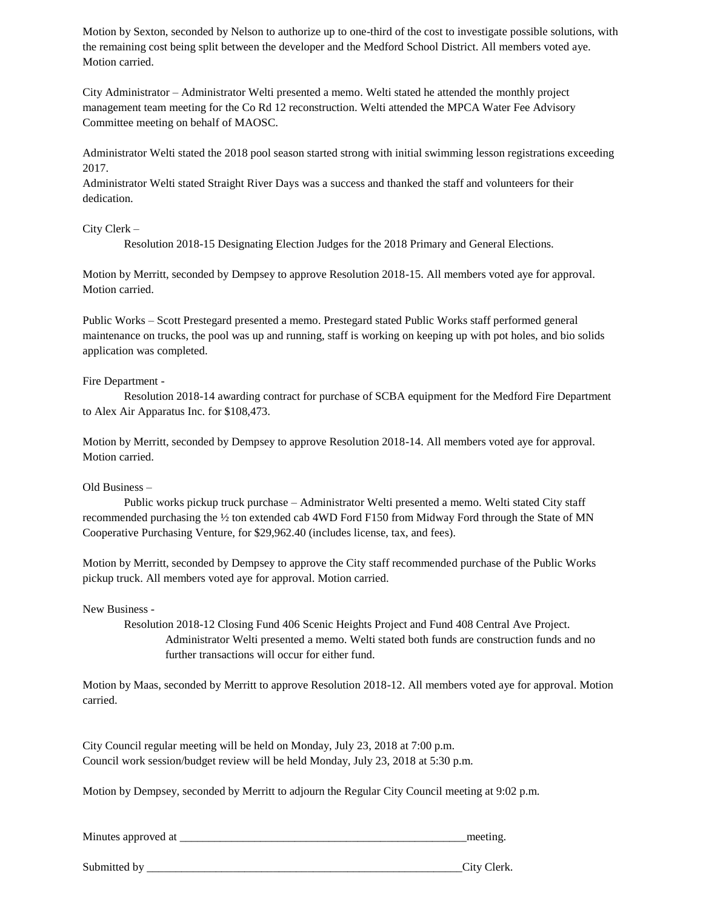Motion by Sexton, seconded by Nelson to authorize up to one-third of the cost to investigate possible solutions, with the remaining cost being split between the developer and the Medford School District. All members voted aye. Motion carried.

City Administrator – Administrator Welti presented a memo. Welti stated he attended the monthly project management team meeting for the Co Rd 12 reconstruction. Welti attended the MPCA Water Fee Advisory Committee meeting on behalf of MAOSC.

Administrator Welti stated the 2018 pool season started strong with initial swimming lesson registrations exceeding 2017.

Administrator Welti stated Straight River Days was a success and thanked the staff and volunteers for their dedication.

City Clerk –

Resolution 2018-15 Designating Election Judges for the 2018 Primary and General Elections.

Motion by Merritt, seconded by Dempsey to approve Resolution 2018-15. All members voted aye for approval. Motion carried.

Public Works – Scott Prestegard presented a memo. Prestegard stated Public Works staff performed general maintenance on trucks, the pool was up and running, staff is working on keeping up with pot holes, and bio solids application was completed.

Fire Department -

Resolution 2018-14 awarding contract for purchase of SCBA equipment for the Medford Fire Department to Alex Air Apparatus Inc. for \$108,473.

Motion by Merritt, seconded by Dempsey to approve Resolution 2018-14. All members voted aye for approval. Motion carried.

Old Business –

Public works pickup truck purchase – Administrator Welti presented a memo. Welti stated City staff recommended purchasing the ½ ton extended cab 4WD Ford F150 from Midway Ford through the State of MN Cooperative Purchasing Venture, for \$29,962.40 (includes license, tax, and fees).

Motion by Merritt, seconded by Dempsey to approve the City staff recommended purchase of the Public Works pickup truck. All members voted aye for approval. Motion carried.

New Business -

Resolution 2018-12 Closing Fund 406 Scenic Heights Project and Fund 408 Central Ave Project. Administrator Welti presented a memo. Welti stated both funds are construction funds and no further transactions will occur for either fund.

Motion by Maas, seconded by Merritt to approve Resolution 2018-12. All members voted aye for approval. Motion carried.

City Council regular meeting will be held on Monday, July 23, 2018 at 7:00 p.m. Council work session/budget review will be held Monday, July 23, 2018 at 5:30 p.m.

Motion by Dempsey, seconded by Merritt to adjourn the Regular City Council meeting at 9:02 p.m.

Minutes approved at \_\_\_\_\_\_\_\_\_\_\_\_\_\_\_\_\_\_\_\_\_\_\_\_\_\_\_\_\_\_\_\_\_\_\_\_\_\_\_\_\_\_\_\_\_\_\_\_\_\_meeting.

Submitted by  $\qquad \qquad \qquad \text{City Clark}.$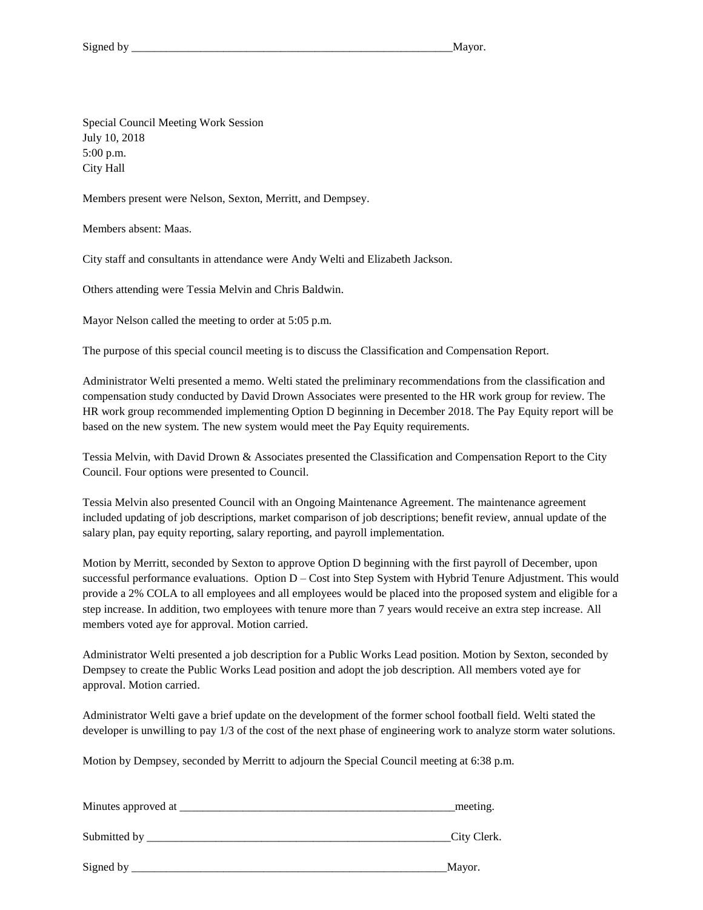Special Council Meeting Work Session July 10, 2018 5:00 p.m. City Hall

Members present were Nelson, Sexton, Merritt, and Dempsey.

Members absent: Maas.

City staff and consultants in attendance were Andy Welti and Elizabeth Jackson.

Others attending were Tessia Melvin and Chris Baldwin.

Mayor Nelson called the meeting to order at 5:05 p.m.

The purpose of this special council meeting is to discuss the Classification and Compensation Report.

Administrator Welti presented a memo. Welti stated the preliminary recommendations from the classification and compensation study conducted by David Drown Associates were presented to the HR work group for review. The HR work group recommended implementing Option D beginning in December 2018. The Pay Equity report will be based on the new system. The new system would meet the Pay Equity requirements.

Tessia Melvin, with David Drown & Associates presented the Classification and Compensation Report to the City Council. Four options were presented to Council.

Tessia Melvin also presented Council with an Ongoing Maintenance Agreement. The maintenance agreement included updating of job descriptions, market comparison of job descriptions; benefit review, annual update of the salary plan, pay equity reporting, salary reporting, and payroll implementation.

Motion by Merritt, seconded by Sexton to approve Option D beginning with the first payroll of December, upon successful performance evaluations. Option D – Cost into Step System with Hybrid Tenure Adjustment. This would provide a 2% COLA to all employees and all employees would be placed into the proposed system and eligible for a step increase. In addition, two employees with tenure more than 7 years would receive an extra step increase. All members voted aye for approval. Motion carried.

Administrator Welti presented a job description for a Public Works Lead position. Motion by Sexton, seconded by Dempsey to create the Public Works Lead position and adopt the job description. All members voted aye for approval. Motion carried.

Administrator Welti gave a brief update on the development of the former school football field. Welti stated the developer is unwilling to pay 1/3 of the cost of the next phase of engineering work to analyze storm water solutions.

Motion by Dempsey, seconded by Merritt to adjourn the Special Council meeting at 6:38 p.m.

| Minutes approved at | meeting.    |
|---------------------|-------------|
| Submitted by        | City Clerk. |
| Signed by           | Mayor.      |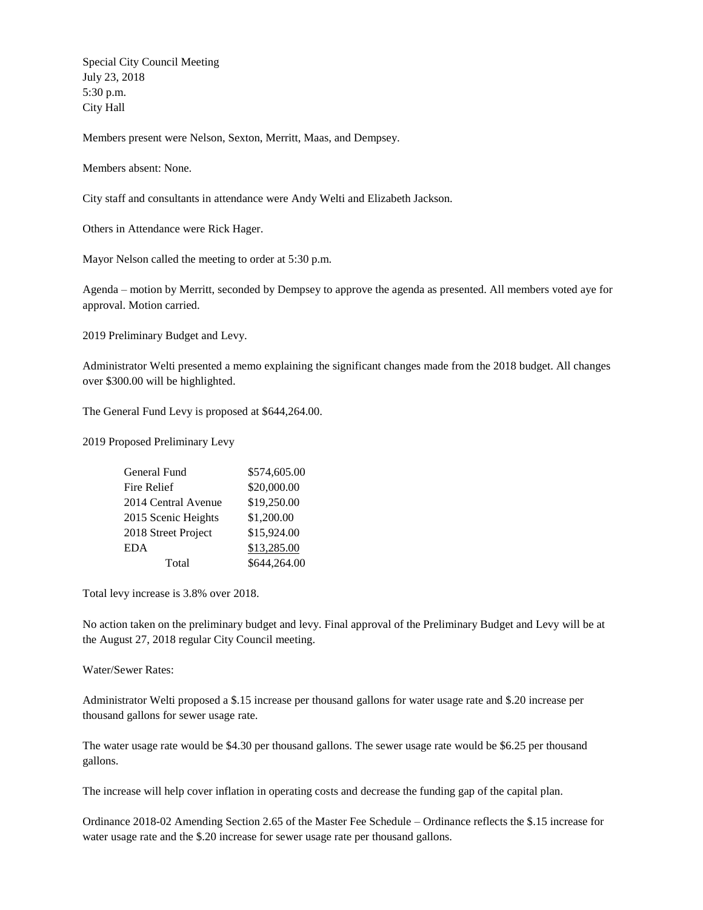Special City Council Meeting July 23, 2018 5:30 p.m. City Hall

Members present were Nelson, Sexton, Merritt, Maas, and Dempsey.

Members absent: None.

City staff and consultants in attendance were Andy Welti and Elizabeth Jackson.

Others in Attendance were Rick Hager.

Mayor Nelson called the meeting to order at 5:30 p.m.

Agenda – motion by Merritt, seconded by Dempsey to approve the agenda as presented. All members voted aye for approval. Motion carried.

2019 Preliminary Budget and Levy.

Administrator Welti presented a memo explaining the significant changes made from the 2018 budget. All changes over \$300.00 will be highlighted.

The General Fund Levy is proposed at \$644,264.00.

2019 Proposed Preliminary Levy

| General Fund        | \$574,605.00 |
|---------------------|--------------|
| Fire Relief         | \$20,000.00  |
| 2014 Central Avenue | \$19,250.00  |
| 2015 Scenic Heights | \$1,200.00   |
| 2018 Street Project | \$15,924.00  |
| <b>EDA</b>          | \$13,285.00  |
| Total               | \$644,264.00 |

Total levy increase is 3.8% over 2018.

No action taken on the preliminary budget and levy. Final approval of the Preliminary Budget and Levy will be at the August 27, 2018 regular City Council meeting.

Water/Sewer Rates:

Administrator Welti proposed a \$.15 increase per thousand gallons for water usage rate and \$.20 increase per thousand gallons for sewer usage rate.

The water usage rate would be \$4.30 per thousand gallons. The sewer usage rate would be \$6.25 per thousand gallons.

The increase will help cover inflation in operating costs and decrease the funding gap of the capital plan.

Ordinance 2018-02 Amending Section 2.65 of the Master Fee Schedule – Ordinance reflects the \$.15 increase for water usage rate and the \$.20 increase for sewer usage rate per thousand gallons.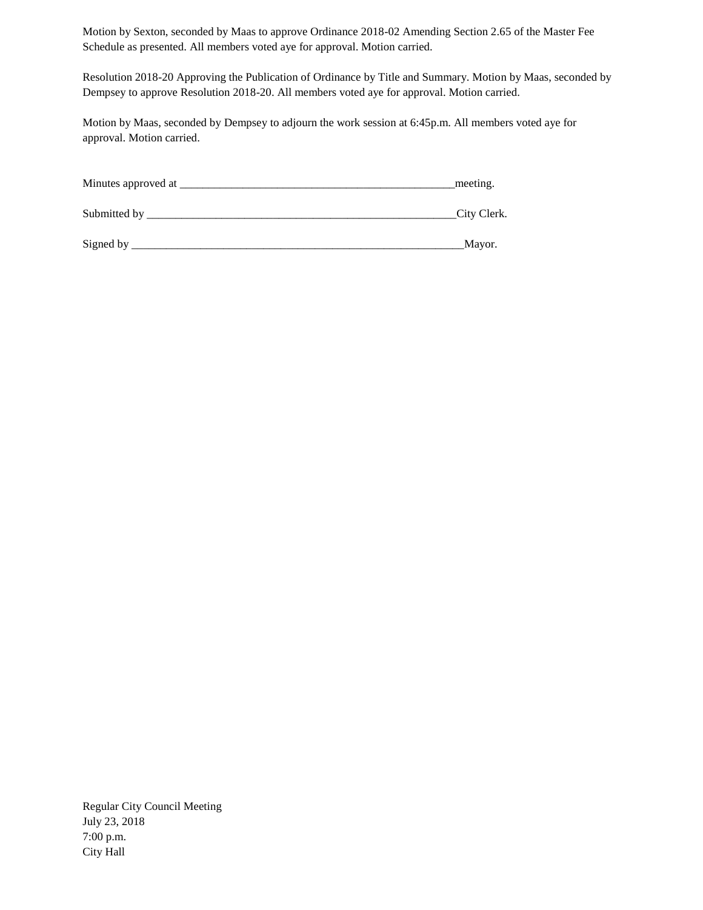Motion by Sexton, seconded by Maas to approve Ordinance 2018-02 Amending Section 2.65 of the Master Fee Schedule as presented. All members voted aye for approval. Motion carried.

Resolution 2018-20 Approving the Publication of Ordinance by Title and Summary. Motion by Maas, seconded by Dempsey to approve Resolution 2018-20. All members voted aye for approval. Motion carried.

Motion by Maas, seconded by Dempsey to adjourn the work session at 6:45p.m. All members voted aye for approval. Motion carried.

| Minutes approved at | meeting.    |
|---------------------|-------------|
| Submitted by        | City Clerk. |
| Signed by           | Mayor.      |

Regular City Council Meeting July 23, 2018 7:00 p.m. City Hall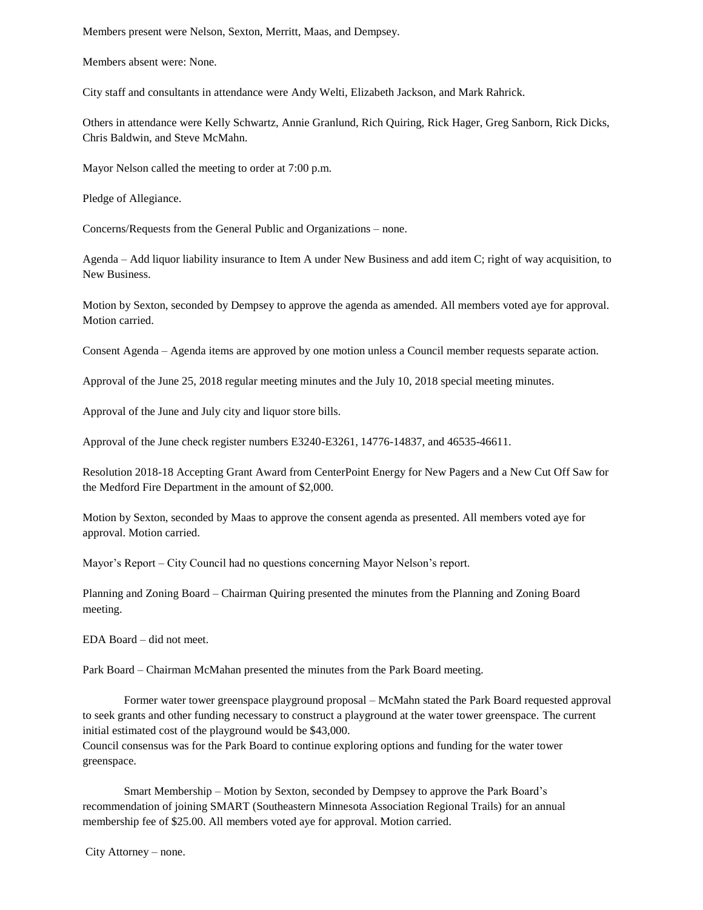Members present were Nelson, Sexton, Merritt, Maas, and Dempsey.

Members absent were: None.

City staff and consultants in attendance were Andy Welti, Elizabeth Jackson, and Mark Rahrick.

Others in attendance were Kelly Schwartz, Annie Granlund, Rich Quiring, Rick Hager, Greg Sanborn, Rick Dicks, Chris Baldwin, and Steve McMahn.

Mayor Nelson called the meeting to order at 7:00 p.m.

Pledge of Allegiance.

Concerns/Requests from the General Public and Organizations – none.

Agenda – Add liquor liability insurance to Item A under New Business and add item C; right of way acquisition, to New Business.

Motion by Sexton, seconded by Dempsey to approve the agenda as amended. All members voted aye for approval. Motion carried.

Consent Agenda – Agenda items are approved by one motion unless a Council member requests separate action.

Approval of the June 25, 2018 regular meeting minutes and the July 10, 2018 special meeting minutes.

Approval of the June and July city and liquor store bills.

Approval of the June check register numbers E3240-E3261, 14776-14837, and 46535-46611.

Resolution 2018-18 Accepting Grant Award from CenterPoint Energy for New Pagers and a New Cut Off Saw for the Medford Fire Department in the amount of \$2,000.

Motion by Sexton, seconded by Maas to approve the consent agenda as presented. All members voted aye for approval. Motion carried.

Mayor's Report – City Council had no questions concerning Mayor Nelson's report.

Planning and Zoning Board – Chairman Quiring presented the minutes from the Planning and Zoning Board meeting.

EDA Board – did not meet.

Park Board – Chairman McMahan presented the minutes from the Park Board meeting.

Former water tower greenspace playground proposal – McMahn stated the Park Board requested approval to seek grants and other funding necessary to construct a playground at the water tower greenspace. The current initial estimated cost of the playground would be \$43,000.

Council consensus was for the Park Board to continue exploring options and funding for the water tower greenspace.

Smart Membership – Motion by Sexton, seconded by Dempsey to approve the Park Board's recommendation of joining SMART (Southeastern Minnesota Association Regional Trails) for an annual membership fee of \$25.00. All members voted aye for approval. Motion carried.

City Attorney – none.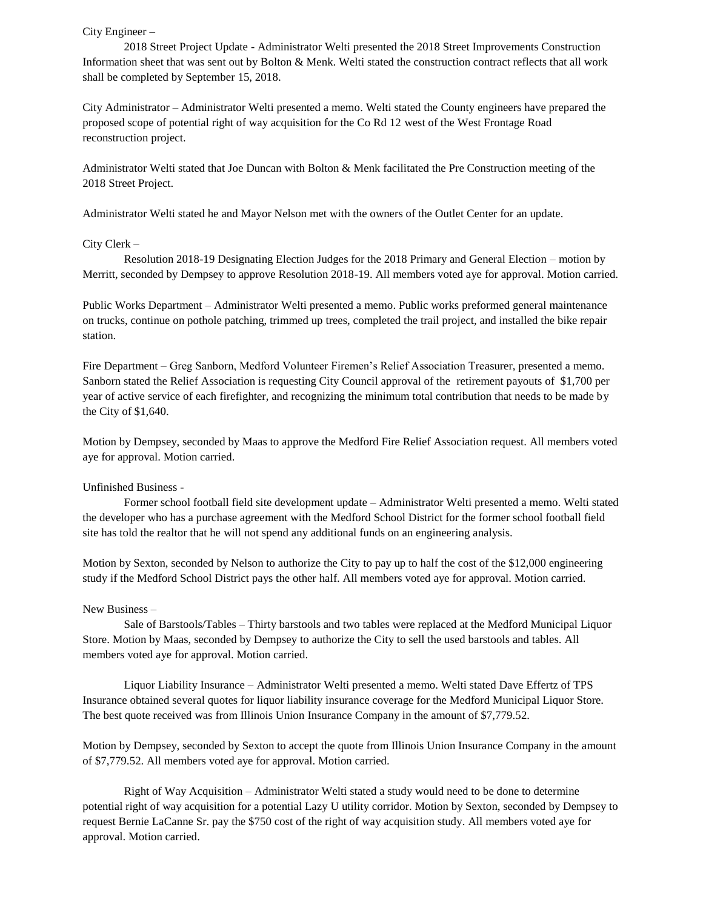#### City Engineer –

2018 Street Project Update - Administrator Welti presented the 2018 Street Improvements Construction Information sheet that was sent out by Bolton & Menk. Welti stated the construction contract reflects that all work shall be completed by September 15, 2018.

City Administrator – Administrator Welti presented a memo. Welti stated the County engineers have prepared the proposed scope of potential right of way acquisition for the Co Rd 12 west of the West Frontage Road reconstruction project.

Administrator Welti stated that Joe Duncan with Bolton & Menk facilitated the Pre Construction meeting of the 2018 Street Project.

Administrator Welti stated he and Mayor Nelson met with the owners of the Outlet Center for an update.

#### City Clerk –

Resolution 2018-19 Designating Election Judges for the 2018 Primary and General Election – motion by Merritt, seconded by Dempsey to approve Resolution 2018-19. All members voted aye for approval. Motion carried.

Public Works Department – Administrator Welti presented a memo. Public works preformed general maintenance on trucks, continue on pothole patching, trimmed up trees, completed the trail project, and installed the bike repair station.

Fire Department – Greg Sanborn, Medford Volunteer Firemen's Relief Association Treasurer, presented a memo. Sanborn stated the Relief Association is requesting City Council approval of the retirement payouts of \$1,700 per year of active service of each firefighter, and recognizing the minimum total contribution that needs to be made by the City of \$1,640.

Motion by Dempsey, seconded by Maas to approve the Medford Fire Relief Association request. All members voted aye for approval. Motion carried.

#### Unfinished Business -

Former school football field site development update – Administrator Welti presented a memo. Welti stated the developer who has a purchase agreement with the Medford School District for the former school football field site has told the realtor that he will not spend any additional funds on an engineering analysis.

Motion by Sexton, seconded by Nelson to authorize the City to pay up to half the cost of the \$12,000 engineering study if the Medford School District pays the other half. All members voted aye for approval. Motion carried.

### New Business –

Sale of Barstools/Tables – Thirty barstools and two tables were replaced at the Medford Municipal Liquor Store. Motion by Maas, seconded by Dempsey to authorize the City to sell the used barstools and tables. All members voted aye for approval. Motion carried.

Liquor Liability Insurance – Administrator Welti presented a memo. Welti stated Dave Effertz of TPS Insurance obtained several quotes for liquor liability insurance coverage for the Medford Municipal Liquor Store. The best quote received was from Illinois Union Insurance Company in the amount of \$7,779.52.

Motion by Dempsey, seconded by Sexton to accept the quote from Illinois Union Insurance Company in the amount of \$7,779.52. All members voted aye for approval. Motion carried.

Right of Way Acquisition – Administrator Welti stated a study would need to be done to determine potential right of way acquisition for a potential Lazy U utility corridor. Motion by Sexton, seconded by Dempsey to request Bernie LaCanne Sr. pay the \$750 cost of the right of way acquisition study. All members voted aye for approval. Motion carried.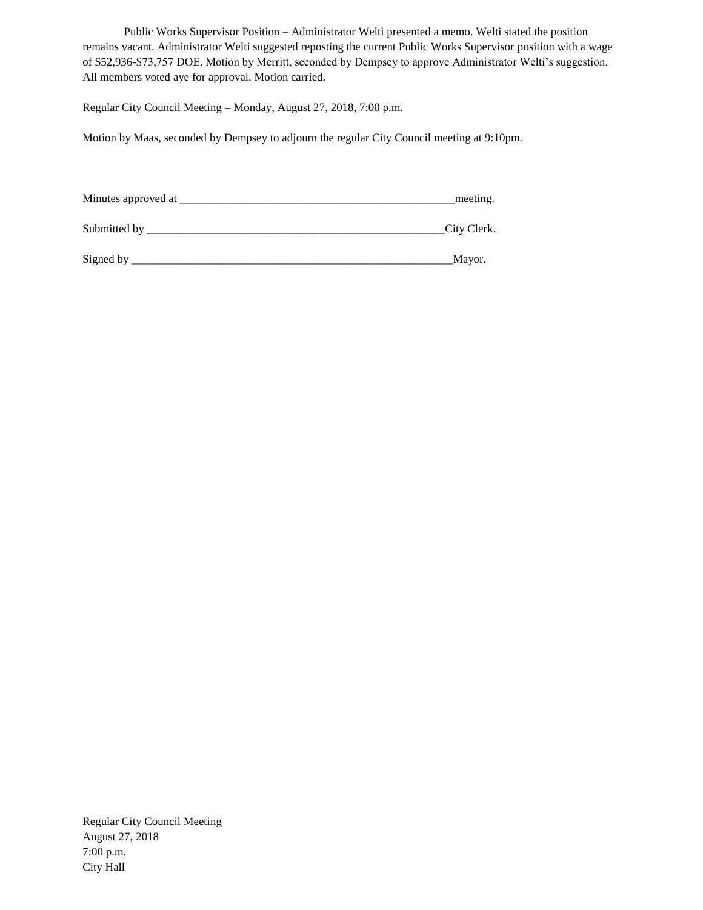Public Works Supervisor Position – Administrator Welti presented a memo. Welti stated the position remains vacant. Administrator Welti suggested reposting the current Public Works Supervisor position with a wage of \$52,936-\$73,757 DOE. Motion by Merritt, seconded by Dempsey to approve Administrator Welti's suggestion. All members voted aye for approval. Motion carried.

Regular City Council Meeting – Monday, August 27, 2018, 7:00 p.m.

Motion by Maas, seconded by Dempsey to adjourn the regular City Council meeting at 9:10pm.

| Minutes approved at | meeting.    |
|---------------------|-------------|
|                     |             |
| Submitted by        | City Clerk. |

Signed by \_\_\_\_\_\_\_\_\_\_\_\_\_\_\_\_\_\_\_\_\_\_\_\_\_\_\_\_\_\_\_\_\_\_\_\_\_\_\_\_\_\_\_\_\_\_\_\_\_\_\_\_\_\_\_\_Mayor.

Regular City Council Meeting August 27, 2018 7:00 p.m. City Hall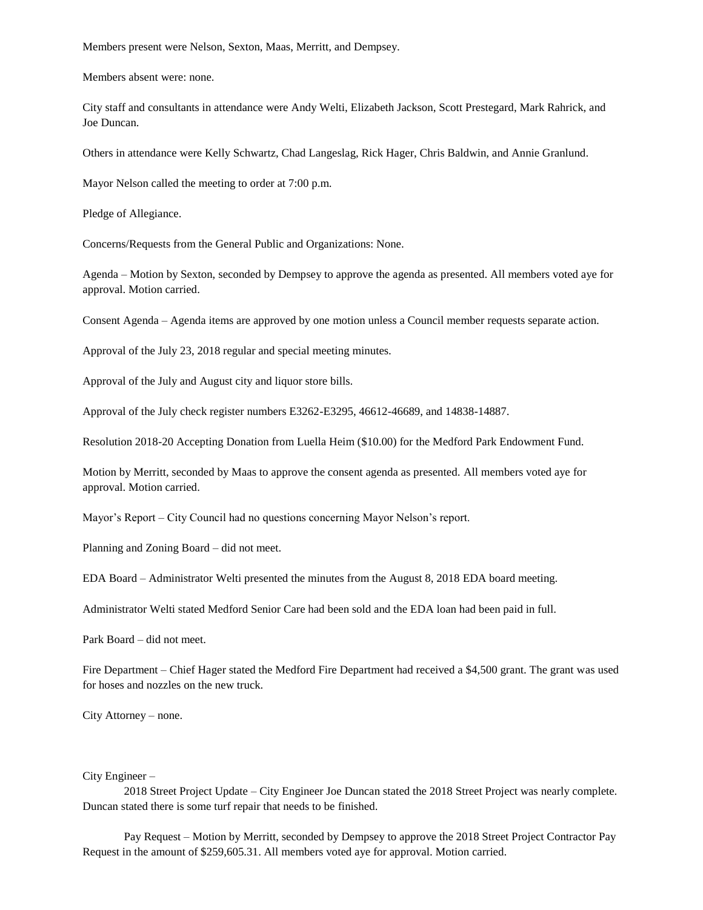Members present were Nelson, Sexton, Maas, Merritt, and Dempsey.

Members absent were: none.

City staff and consultants in attendance were Andy Welti, Elizabeth Jackson, Scott Prestegard, Mark Rahrick, and Joe Duncan.

Others in attendance were Kelly Schwartz, Chad Langeslag, Rick Hager, Chris Baldwin, and Annie Granlund.

Mayor Nelson called the meeting to order at 7:00 p.m.

Pledge of Allegiance.

Concerns/Requests from the General Public and Organizations: None.

Agenda – Motion by Sexton, seconded by Dempsey to approve the agenda as presented. All members voted aye for approval. Motion carried.

Consent Agenda – Agenda items are approved by one motion unless a Council member requests separate action.

Approval of the July 23, 2018 regular and special meeting minutes.

Approval of the July and August city and liquor store bills.

Approval of the July check register numbers E3262-E3295, 46612-46689, and 14838-14887.

Resolution 2018-20 Accepting Donation from Luella Heim (\$10.00) for the Medford Park Endowment Fund.

Motion by Merritt, seconded by Maas to approve the consent agenda as presented. All members voted aye for approval. Motion carried.

Mayor's Report – City Council had no questions concerning Mayor Nelson's report.

Planning and Zoning Board – did not meet.

EDA Board – Administrator Welti presented the minutes from the August 8, 2018 EDA board meeting.

Administrator Welti stated Medford Senior Care had been sold and the EDA loan had been paid in full.

Park Board – did not meet.

Fire Department – Chief Hager stated the Medford Fire Department had received a \$4,500 grant. The grant was used for hoses and nozzles on the new truck.

City Attorney – none.

### City Engineer –

2018 Street Project Update – City Engineer Joe Duncan stated the 2018 Street Project was nearly complete. Duncan stated there is some turf repair that needs to be finished.

Pay Request – Motion by Merritt, seconded by Dempsey to approve the 2018 Street Project Contractor Pay Request in the amount of \$259,605.31. All members voted aye for approval. Motion carried.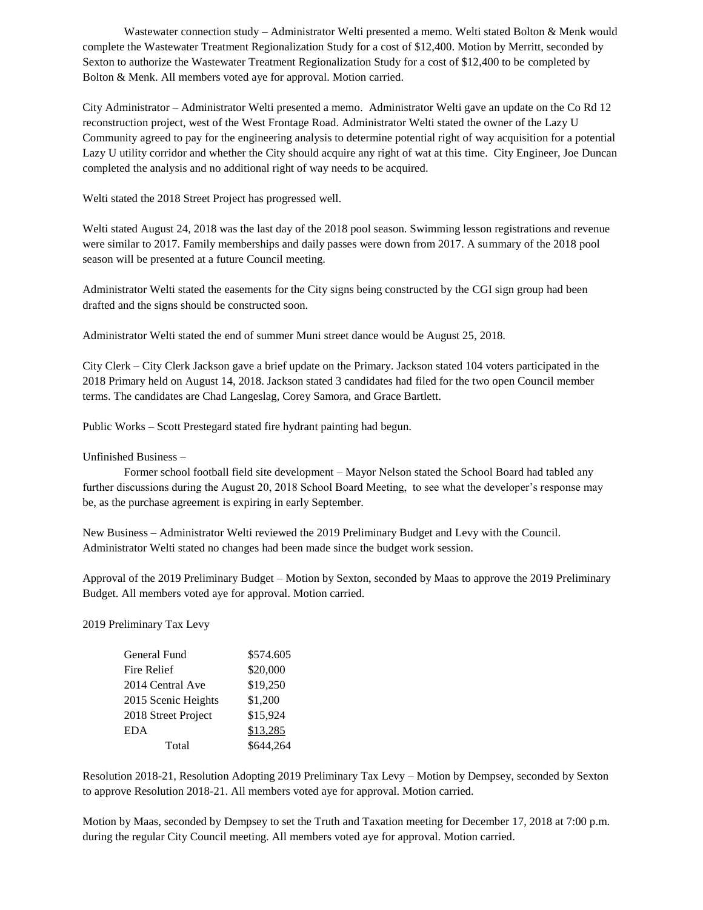Wastewater connection study – Administrator Welti presented a memo. Welti stated Bolton & Menk would complete the Wastewater Treatment Regionalization Study for a cost of \$12,400. Motion by Merritt, seconded by Sexton to authorize the Wastewater Treatment Regionalization Study for a cost of \$12,400 to be completed by Bolton & Menk. All members voted aye for approval. Motion carried.

City Administrator – Administrator Welti presented a memo. Administrator Welti gave an update on the Co Rd 12 reconstruction project, west of the West Frontage Road. Administrator Welti stated the owner of the Lazy U Community agreed to pay for the engineering analysis to determine potential right of way acquisition for a potential Lazy U utility corridor and whether the City should acquire any right of wat at this time. City Engineer, Joe Duncan completed the analysis and no additional right of way needs to be acquired.

Welti stated the 2018 Street Project has progressed well.

Welti stated August 24, 2018 was the last day of the 2018 pool season. Swimming lesson registrations and revenue were similar to 2017. Family memberships and daily passes were down from 2017. A summary of the 2018 pool season will be presented at a future Council meeting.

Administrator Welti stated the easements for the City signs being constructed by the CGI sign group had been drafted and the signs should be constructed soon.

Administrator Welti stated the end of summer Muni street dance would be August 25, 2018.

City Clerk – City Clerk Jackson gave a brief update on the Primary. Jackson stated 104 voters participated in the 2018 Primary held on August 14, 2018. Jackson stated 3 candidates had filed for the two open Council member terms. The candidates are Chad Langeslag, Corey Samora, and Grace Bartlett.

Public Works – Scott Prestegard stated fire hydrant painting had begun.

Unfinished Business –

Former school football field site development – Mayor Nelson stated the School Board had tabled any further discussions during the August 20, 2018 School Board Meeting, to see what the developer's response may be, as the purchase agreement is expiring in early September.

New Business – Administrator Welti reviewed the 2019 Preliminary Budget and Levy with the Council. Administrator Welti stated no changes had been made since the budget work session.

Approval of the 2019 Preliminary Budget – Motion by Sexton, seconded by Maas to approve the 2019 Preliminary Budget. All members voted aye for approval. Motion carried.

2019 Preliminary Tax Levy

| General Fund        | \$574.605 |
|---------------------|-----------|
| Fire Relief         | \$20,000  |
| 2014 Central Ave    | \$19,250  |
| 2015 Scenic Heights | \$1,200   |
| 2018 Street Project | \$15,924  |
| <b>EDA</b>          | \$13,285  |
| Total               | \$644,264 |

Resolution 2018-21, Resolution Adopting 2019 Preliminary Tax Levy – Motion by Dempsey, seconded by Sexton to approve Resolution 2018-21. All members voted aye for approval. Motion carried.

Motion by Maas, seconded by Dempsey to set the Truth and Taxation meeting for December 17, 2018 at 7:00 p.m. during the regular City Council meeting. All members voted aye for approval. Motion carried.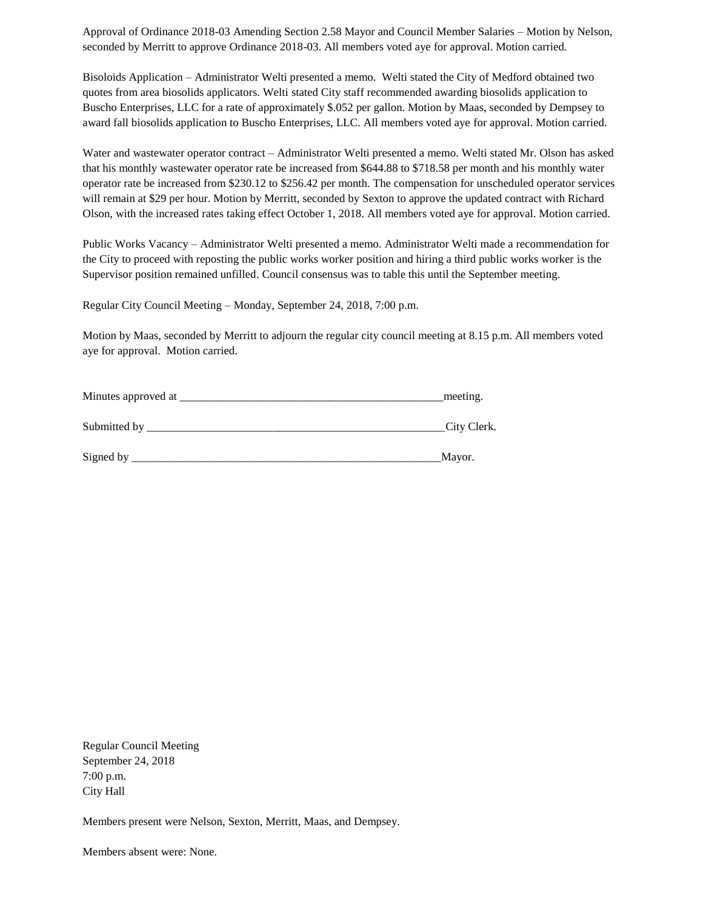Approval of Ordinance 2018-03 Amending Section 2.58 Mayor and Council Member Salaries – Motion by Nelson, seconded by Merritt to approve Ordinance 2018-03. All members voted aye for approval. Motion carried.

Bisoloids Application – Administrator Welti presented a memo. Welti stated the City of Medford obtained two quotes from area biosolids applicators. Welti stated City staff recommended awarding biosolids application to Buscho Enterprises, LLC for a rate of approximately \$.052 per gallon. Motion by Maas, seconded by Dempsey to award fall biosolids application to Buscho Enterprises, LLC. All members voted aye for approval. Motion carried.

Water and wastewater operator contract – Administrator Welti presented a memo. Welti stated Mr. Olson has asked that his monthly wastewater operator rate be increased from \$644.88 to \$718.58 per month and his monthly water operator rate be increased from \$230.12 to \$256.42 per month. The compensation for unscheduled operator services will remain at \$29 per hour. Motion by Merritt, seconded by Sexton to approve the updated contract with Richard Olson, with the increased rates taking effect October 1, 2018. All members voted aye for approval. Motion carried.

Public Works Vacancy – Administrator Welti presented a memo. Administrator Welti made a recommendation for the City to proceed with reposting the public works worker position and hiring a third public works worker is the Supervisor position remained unfilled. Council consensus was to table this until the September meeting.

Regular City Council Meeting – Monday, September 24, 2018, 7:00 p.m.

Motion by Maas, seconded by Merritt to adjourn the regular city council meeting at 8.15 p.m. All members voted aye for approval. Motion carried.

| Minutes approved at | meeting.    |  |
|---------------------|-------------|--|
| Submitted by        | City Clerk. |  |
| Signed by           | Mayor.      |  |

Regular Council Meeting September 24, 2018 7:00 p.m. City Hall

Members present were Nelson, Sexton, Merritt, Maas, and Dempsey.

Members absent were: None.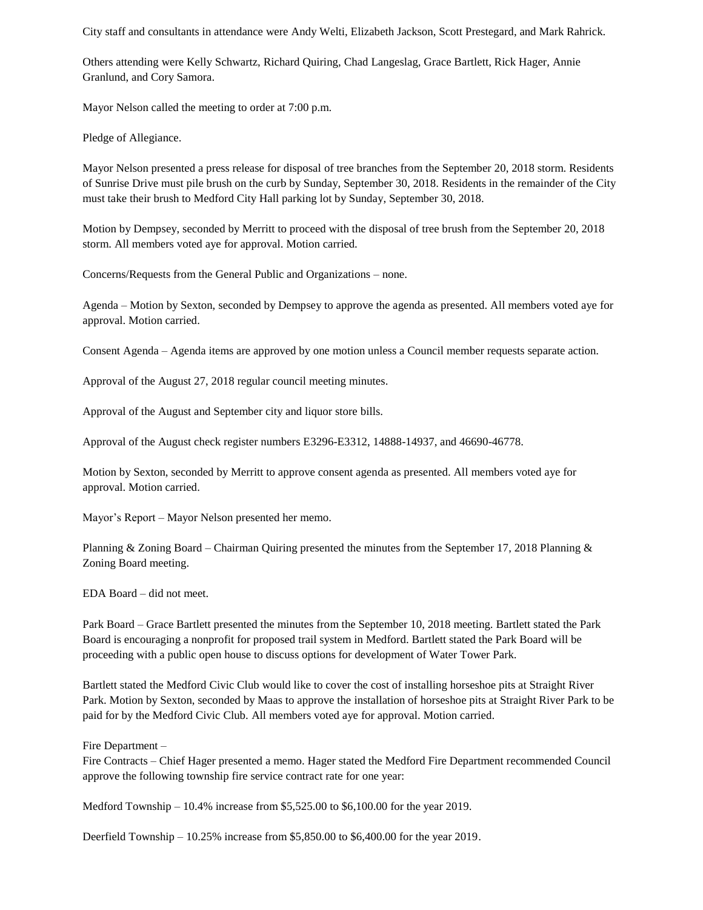City staff and consultants in attendance were Andy Welti, Elizabeth Jackson, Scott Prestegard, and Mark Rahrick.

Others attending were Kelly Schwartz, Richard Quiring, Chad Langeslag, Grace Bartlett, Rick Hager, Annie Granlund, and Cory Samora.

Mayor Nelson called the meeting to order at 7:00 p.m.

Pledge of Allegiance.

Mayor Nelson presented a press release for disposal of tree branches from the September 20, 2018 storm. Residents of Sunrise Drive must pile brush on the curb by Sunday, September 30, 2018. Residents in the remainder of the City must take their brush to Medford City Hall parking lot by Sunday, September 30, 2018.

Motion by Dempsey, seconded by Merritt to proceed with the disposal of tree brush from the September 20, 2018 storm. All members voted aye for approval. Motion carried.

Concerns/Requests from the General Public and Organizations – none.

Agenda – Motion by Sexton, seconded by Dempsey to approve the agenda as presented. All members voted aye for approval. Motion carried.

Consent Agenda – Agenda items are approved by one motion unless a Council member requests separate action.

Approval of the August 27, 2018 regular council meeting minutes.

Approval of the August and September city and liquor store bills.

Approval of the August check register numbers E3296-E3312, 14888-14937, and 46690-46778.

Motion by Sexton, seconded by Merritt to approve consent agenda as presented. All members voted aye for approval. Motion carried.

Mayor's Report – Mayor Nelson presented her memo.

Planning & Zoning Board – Chairman Quiring presented the minutes from the September 17, 2018 Planning & Zoning Board meeting.

EDA Board – did not meet.

Park Board – Grace Bartlett presented the minutes from the September 10, 2018 meeting. Bartlett stated the Park Board is encouraging a nonprofit for proposed trail system in Medford. Bartlett stated the Park Board will be proceeding with a public open house to discuss options for development of Water Tower Park.

Bartlett stated the Medford Civic Club would like to cover the cost of installing horseshoe pits at Straight River Park. Motion by Sexton, seconded by Maas to approve the installation of horseshoe pits at Straight River Park to be paid for by the Medford Civic Club. All members voted aye for approval. Motion carried.

Fire Department –

Fire Contracts – Chief Hager presented a memo. Hager stated the Medford Fire Department recommended Council approve the following township fire service contract rate for one year:

Medford Township  $-10.4\%$  increase from \$5,525.00 to \$6,100.00 for the year 2019.

Deerfield Township – 10.25% increase from \$5,850.00 to \$6,400.00 for the year 2019.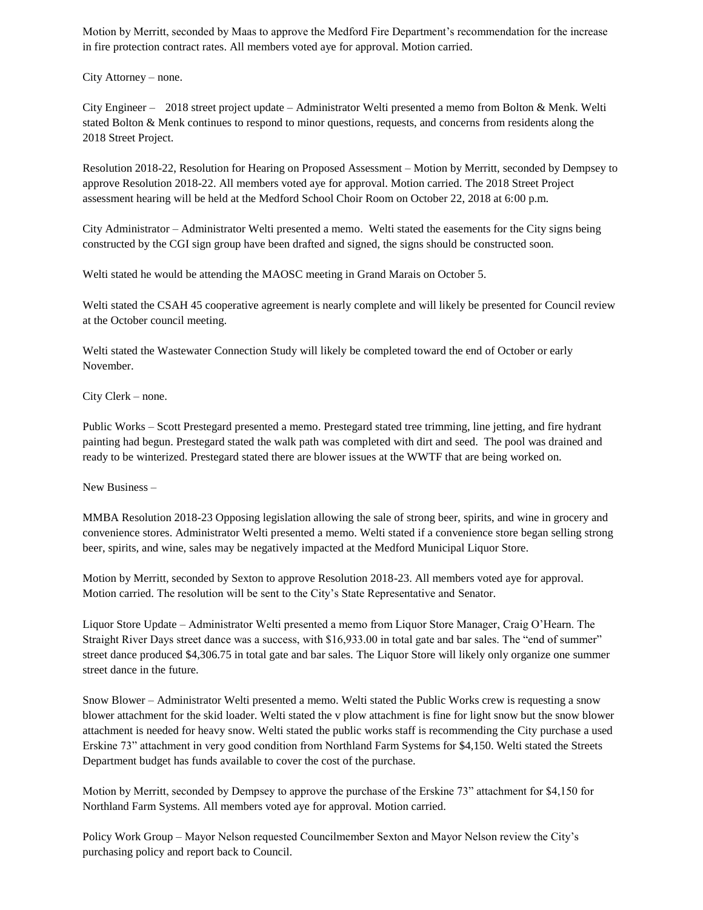Motion by Merritt, seconded by Maas to approve the Medford Fire Department's recommendation for the increase in fire protection contract rates. All members voted aye for approval. Motion carried.

City Attorney – none.

City Engineer – 2018 street project update – Administrator Welti presented a memo from Bolton & Menk. Welti stated Bolton & Menk continues to respond to minor questions, requests, and concerns from residents along the 2018 Street Project.

Resolution 2018-22, Resolution for Hearing on Proposed Assessment – Motion by Merritt, seconded by Dempsey to approve Resolution 2018-22. All members voted aye for approval. Motion carried. The 2018 Street Project assessment hearing will be held at the Medford School Choir Room on October 22, 2018 at 6:00 p.m.

City Administrator – Administrator Welti presented a memo. Welti stated the easements for the City signs being constructed by the CGI sign group have been drafted and signed, the signs should be constructed soon.

Welti stated he would be attending the MAOSC meeting in Grand Marais on October 5.

Welti stated the CSAH 45 cooperative agreement is nearly complete and will likely be presented for Council review at the October council meeting.

Welti stated the Wastewater Connection Study will likely be completed toward the end of October or early November.

City Clerk – none.

Public Works – Scott Prestegard presented a memo. Prestegard stated tree trimming, line jetting, and fire hydrant painting had begun. Prestegard stated the walk path was completed with dirt and seed. The pool was drained and ready to be winterized. Prestegard stated there are blower issues at the WWTF that are being worked on.

New Business –

MMBA Resolution 2018-23 Opposing legislation allowing the sale of strong beer, spirits, and wine in grocery and convenience stores. Administrator Welti presented a memo. Welti stated if a convenience store began selling strong beer, spirits, and wine, sales may be negatively impacted at the Medford Municipal Liquor Store.

Motion by Merritt, seconded by Sexton to approve Resolution 2018-23. All members voted aye for approval. Motion carried. The resolution will be sent to the City's State Representative and Senator.

Liquor Store Update – Administrator Welti presented a memo from Liquor Store Manager, Craig O'Hearn. The Straight River Days street dance was a success, with \$16,933.00 in total gate and bar sales. The "end of summer" street dance produced \$4,306.75 in total gate and bar sales. The Liquor Store will likely only organize one summer street dance in the future.

Snow Blower – Administrator Welti presented a memo. Welti stated the Public Works crew is requesting a snow blower attachment for the skid loader. Welti stated the v plow attachment is fine for light snow but the snow blower attachment is needed for heavy snow. Welti stated the public works staff is recommending the City purchase a used Erskine 73" attachment in very good condition from Northland Farm Systems for \$4,150. Welti stated the Streets Department budget has funds available to cover the cost of the purchase.

Motion by Merritt, seconded by Dempsey to approve the purchase of the Erskine 73" attachment for \$4,150 for Northland Farm Systems. All members voted aye for approval. Motion carried.

Policy Work Group – Mayor Nelson requested Councilmember Sexton and Mayor Nelson review the City's purchasing policy and report back to Council.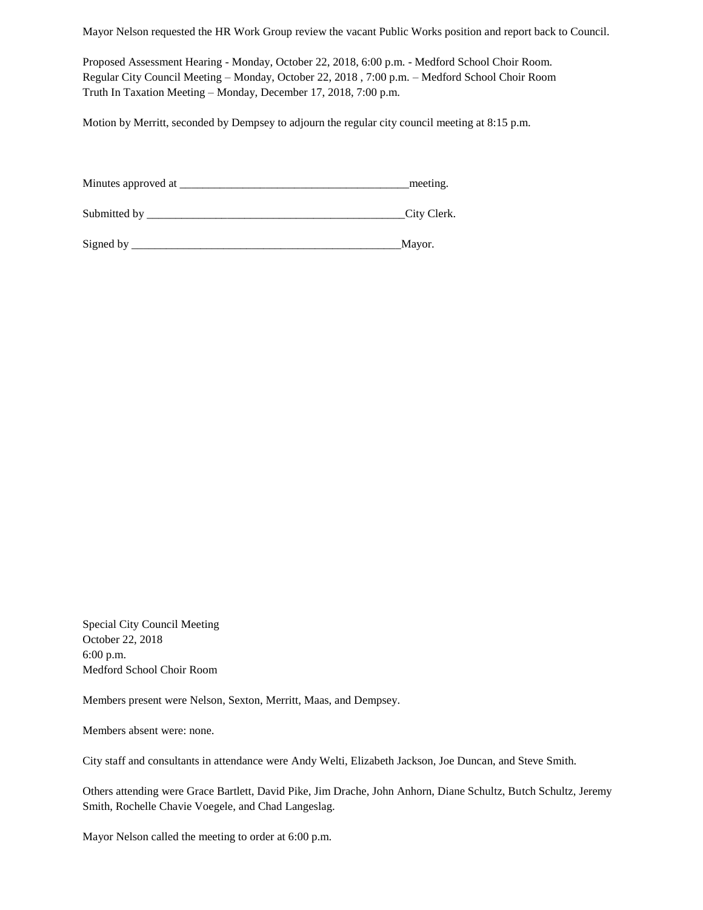Mayor Nelson requested the HR Work Group review the vacant Public Works position and report back to Council.

Proposed Assessment Hearing - Monday, October 22, 2018, 6:00 p.m. - Medford School Choir Room. Regular City Council Meeting – Monday, October 22, 2018 , 7:00 p.m. – Medford School Choir Room Truth In Taxation Meeting – Monday, December 17, 2018, 7:00 p.m.

Motion by Merritt, seconded by Dempsey to adjourn the regular city council meeting at 8:15 p.m.

| Minutes approved at | meeting.    |
|---------------------|-------------|
| Submitted by        | City Clerk. |

Signed by \_\_\_\_\_\_\_\_\_\_\_\_\_\_\_\_\_\_\_\_\_\_\_\_\_\_\_\_\_\_\_\_\_\_\_\_\_\_\_\_\_\_\_\_\_\_\_Mayor.

Special City Council Meeting October 22, 2018 6:00 p.m. Medford School Choir Room

Members present were Nelson, Sexton, Merritt, Maas, and Dempsey.

Members absent were: none.

City staff and consultants in attendance were Andy Welti, Elizabeth Jackson, Joe Duncan, and Steve Smith.

Others attending were Grace Bartlett, David Pike, Jim Drache, John Anhorn, Diane Schultz, Butch Schultz, Jeremy Smith, Rochelle Chavie Voegele, and Chad Langeslag.

Mayor Nelson called the meeting to order at 6:00 p.m.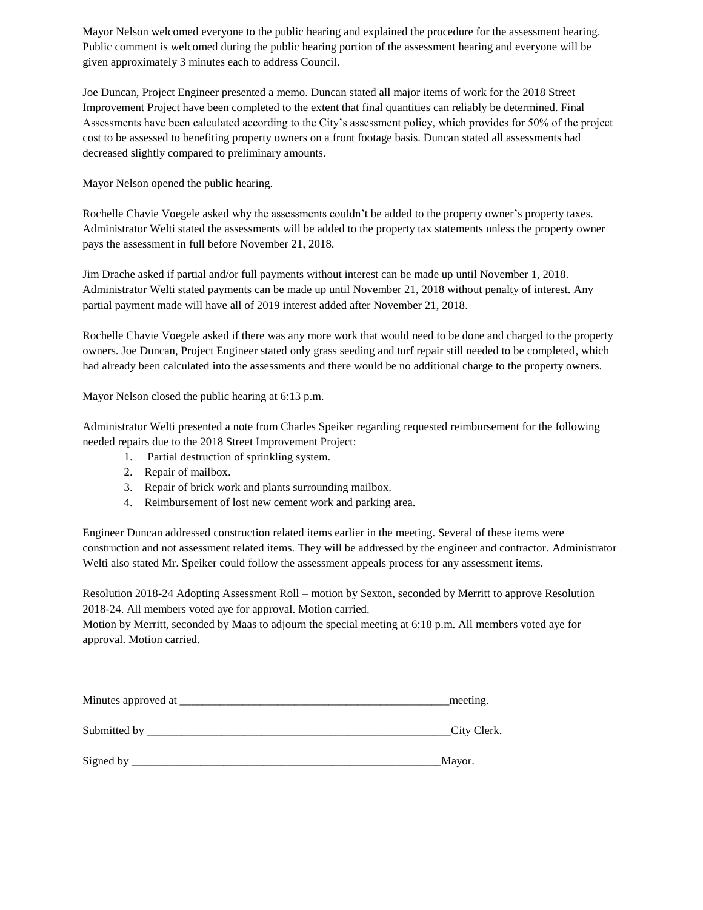Mayor Nelson welcomed everyone to the public hearing and explained the procedure for the assessment hearing. Public comment is welcomed during the public hearing portion of the assessment hearing and everyone will be given approximately 3 minutes each to address Council.

Joe Duncan, Project Engineer presented a memo. Duncan stated all major items of work for the 2018 Street Improvement Project have been completed to the extent that final quantities can reliably be determined. Final Assessments have been calculated according to the City's assessment policy, which provides for 50% of the project cost to be assessed to benefiting property owners on a front footage basis. Duncan stated all assessments had decreased slightly compared to preliminary amounts.

Mayor Nelson opened the public hearing.

Rochelle Chavie Voegele asked why the assessments couldn't be added to the property owner's property taxes. Administrator Welti stated the assessments will be added to the property tax statements unless the property owner pays the assessment in full before November 21, 2018.

Jim Drache asked if partial and/or full payments without interest can be made up until November 1, 2018. Administrator Welti stated payments can be made up until November 21, 2018 without penalty of interest. Any partial payment made will have all of 2019 interest added after November 21, 2018.

Rochelle Chavie Voegele asked if there was any more work that would need to be done and charged to the property owners. Joe Duncan, Project Engineer stated only grass seeding and turf repair still needed to be completed, which had already been calculated into the assessments and there would be no additional charge to the property owners.

Mayor Nelson closed the public hearing at 6:13 p.m.

Administrator Welti presented a note from Charles Speiker regarding requested reimbursement for the following needed repairs due to the 2018 Street Improvement Project:

- 1. Partial destruction of sprinkling system.
- 2. Repair of mailbox.
- 3. Repair of brick work and plants surrounding mailbox.
- 4. Reimbursement of lost new cement work and parking area.

Engineer Duncan addressed construction related items earlier in the meeting. Several of these items were construction and not assessment related items. They will be addressed by the engineer and contractor. Administrator Welti also stated Mr. Speiker could follow the assessment appeals process for any assessment items.

Resolution 2018-24 Adopting Assessment Roll – motion by Sexton, seconded by Merritt to approve Resolution 2018-24. All members voted aye for approval. Motion carried.

Motion by Merritt, seconded by Maas to adjourn the special meeting at 6:18 p.m. All members voted aye for approval. Motion carried.

| Minutes approved at | meeting.    |  |
|---------------------|-------------|--|
| Submitted by        | City Clerk. |  |
| Signed by           | Mayor.      |  |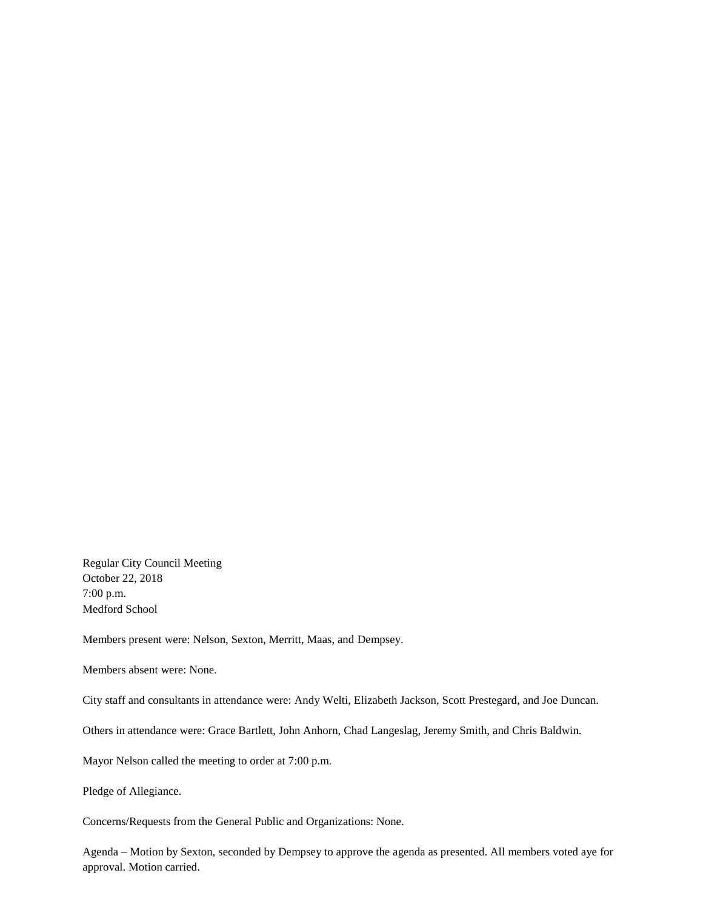Regular City Council Meeting October 22, 2018 7:00 p.m. Medford School

Members present were: Nelson, Sexton, Merritt, Maas, and Dempsey.

Members absent were: None.

City staff and consultants in attendance were: Andy Welti, Elizabeth Jackson, Scott Prestegard, and Joe Duncan.

Others in attendance were: Grace Bartlett, John Anhorn, Chad Langeslag, Jeremy Smith, and Chris Baldwin.

Mayor Nelson called the meeting to order at 7:00 p.m.

Pledge of Allegiance.

Concerns/Requests from the General Public and Organizations: None.

Agenda – Motion by Sexton, seconded by Dempsey to approve the agenda as presented. All members voted aye for approval. Motion carried.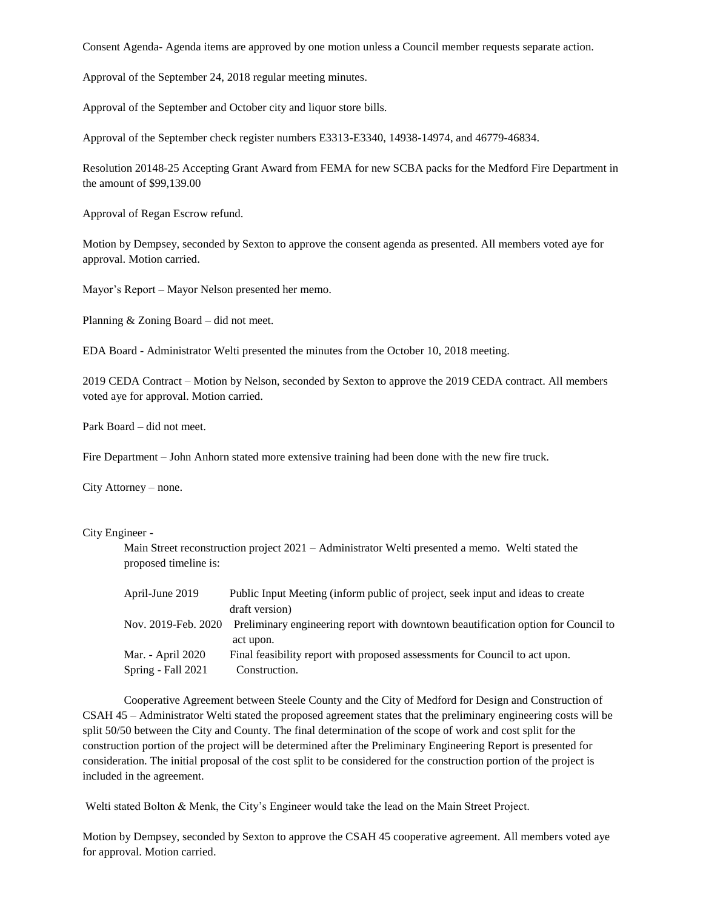Consent Agenda- Agenda items are approved by one motion unless a Council member requests separate action.

Approval of the September 24, 2018 regular meeting minutes.

Approval of the September and October city and liquor store bills.

Approval of the September check register numbers E3313-E3340, 14938-14974, and 46779-46834.

Resolution 20148-25 Accepting Grant Award from FEMA for new SCBA packs for the Medford Fire Department in the amount of \$99,139.00

Approval of Regan Escrow refund.

Motion by Dempsey, seconded by Sexton to approve the consent agenda as presented. All members voted aye for approval. Motion carried.

Mayor's Report – Mayor Nelson presented her memo.

Planning & Zoning Board – did not meet.

EDA Board - Administrator Welti presented the minutes from the October 10, 2018 meeting.

2019 CEDA Contract – Motion by Nelson, seconded by Sexton to approve the 2019 CEDA contract. All members voted aye for approval. Motion carried.

Park Board – did not meet.

Fire Department – John Anhorn stated more extensive training had been done with the new fire truck.

City Attorney – none.

City Engineer -

Main Street reconstruction project 2021 – Administrator Welti presented a memo. Welti stated the proposed timeline is:

| April-June 2019    | Public Input Meeting (inform public of project, seek input and ideas to create                        |
|--------------------|-------------------------------------------------------------------------------------------------------|
|                    | draft version)                                                                                        |
|                    | Nov. 2019-Feb. 2020 Preliminary engineering report with downtown beautification option for Council to |
|                    | act upon.                                                                                             |
| Mar. - April 2020  | Final feasibility report with proposed assessments for Council to act upon.                           |
| Spring - Fall 2021 | Construction.                                                                                         |

Cooperative Agreement between Steele County and the City of Medford for Design and Construction of CSAH 45 – Administrator Welti stated the proposed agreement states that the preliminary engineering costs will be split 50/50 between the City and County. The final determination of the scope of work and cost split for the construction portion of the project will be determined after the Preliminary Engineering Report is presented for consideration. The initial proposal of the cost split to be considered for the construction portion of the project is included in the agreement.

Welti stated Bolton & Menk, the City's Engineer would take the lead on the Main Street Project.

Motion by Dempsey, seconded by Sexton to approve the CSAH 45 cooperative agreement. All members voted aye for approval. Motion carried.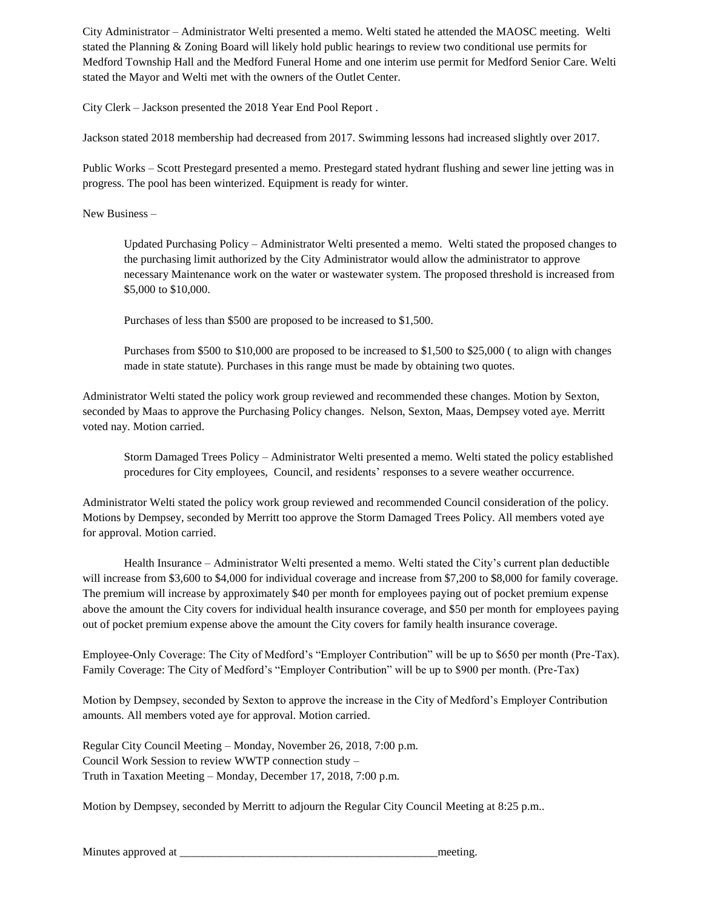City Administrator – Administrator Welti presented a memo. Welti stated he attended the MAOSC meeting. Welti stated the Planning & Zoning Board will likely hold public hearings to review two conditional use permits for Medford Township Hall and the Medford Funeral Home and one interim use permit for Medford Senior Care. Welti stated the Mayor and Welti met with the owners of the Outlet Center.

City Clerk – Jackson presented the 2018 Year End Pool Report .

Jackson stated 2018 membership had decreased from 2017. Swimming lessons had increased slightly over 2017.

Public Works – Scott Prestegard presented a memo. Prestegard stated hydrant flushing and sewer line jetting was in progress. The pool has been winterized. Equipment is ready for winter.

New Business –

Updated Purchasing Policy – Administrator Welti presented a memo. Welti stated the proposed changes to the purchasing limit authorized by the City Administrator would allow the administrator to approve necessary Maintenance work on the water or wastewater system. The proposed threshold is increased from \$5,000 to \$10,000.

Purchases of less than \$500 are proposed to be increased to \$1,500.

Purchases from \$500 to \$10,000 are proposed to be increased to \$1,500 to \$25,000 (to align with changes made in state statute). Purchases in this range must be made by obtaining two quotes.

Administrator Welti stated the policy work group reviewed and recommended these changes. Motion by Sexton, seconded by Maas to approve the Purchasing Policy changes. Nelson, Sexton, Maas, Dempsey voted aye. Merritt voted nay. Motion carried.

Storm Damaged Trees Policy – Administrator Welti presented a memo. Welti stated the policy established procedures for City employees, Council, and residents' responses to a severe weather occurrence.

Administrator Welti stated the policy work group reviewed and recommended Council consideration of the policy. Motions by Dempsey, seconded by Merritt too approve the Storm Damaged Trees Policy. All members voted aye for approval. Motion carried.

Health Insurance – Administrator Welti presented a memo. Welti stated the City's current plan deductible will increase from \$3,600 to \$4,000 for individual coverage and increase from \$7,200 to \$8,000 for family coverage. The premium will increase by approximately \$40 per month for employees paying out of pocket premium expense above the amount the City covers for individual health insurance coverage, and \$50 per month for employees paying out of pocket premium expense above the amount the City covers for family health insurance coverage.

Employee-Only Coverage: The City of Medford's "Employer Contribution" will be up to \$650 per month (Pre-Tax). Family Coverage: The City of Medford's "Employer Contribution" will be up to \$900 per month. (Pre-Tax)

Motion by Dempsey, seconded by Sexton to approve the increase in the City of Medford's Employer Contribution amounts. All members voted aye for approval. Motion carried.

Regular City Council Meeting – Monday, November 26, 2018, 7:00 p.m. Council Work Session to review WWTP connection study – Truth in Taxation Meeting – Monday, December 17, 2018, 7:00 p.m.

Motion by Dempsey, seconded by Merritt to adjourn the Regular City Council Meeting at 8:25 p.m..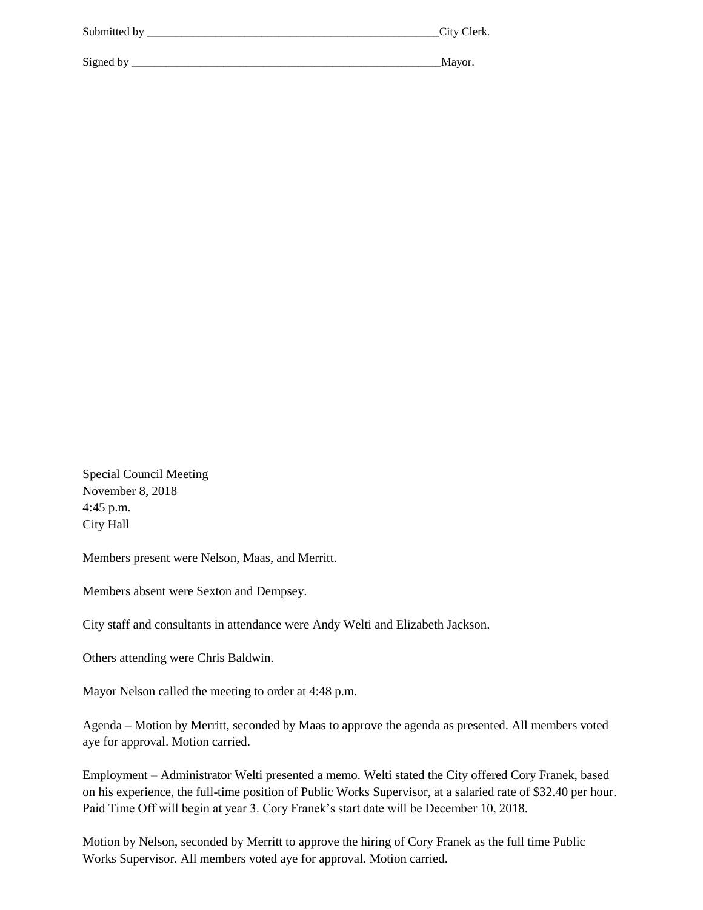| Submitted by | City Clerk. |
|--------------|-------------|
|              |             |
| Signed by    | Mayor.      |

Special Council Meeting November 8, 2018 4:45 p.m. City Hall

Members present were Nelson, Maas, and Merritt.

Members absent were Sexton and Dempsey.

City staff and consultants in attendance were Andy Welti and Elizabeth Jackson.

Others attending were Chris Baldwin.

Mayor Nelson called the meeting to order at 4:48 p.m.

Agenda – Motion by Merritt, seconded by Maas to approve the agenda as presented. All members voted aye for approval. Motion carried.

Employment – Administrator Welti presented a memo. Welti stated the City offered Cory Franek, based on his experience, the full-time position of Public Works Supervisor, at a salaried rate of \$32.40 per hour. Paid Time Off will begin at year 3. Cory Franek's start date will be December 10, 2018.

Motion by Nelson, seconded by Merritt to approve the hiring of Cory Franek as the full time Public Works Supervisor. All members voted aye for approval. Motion carried.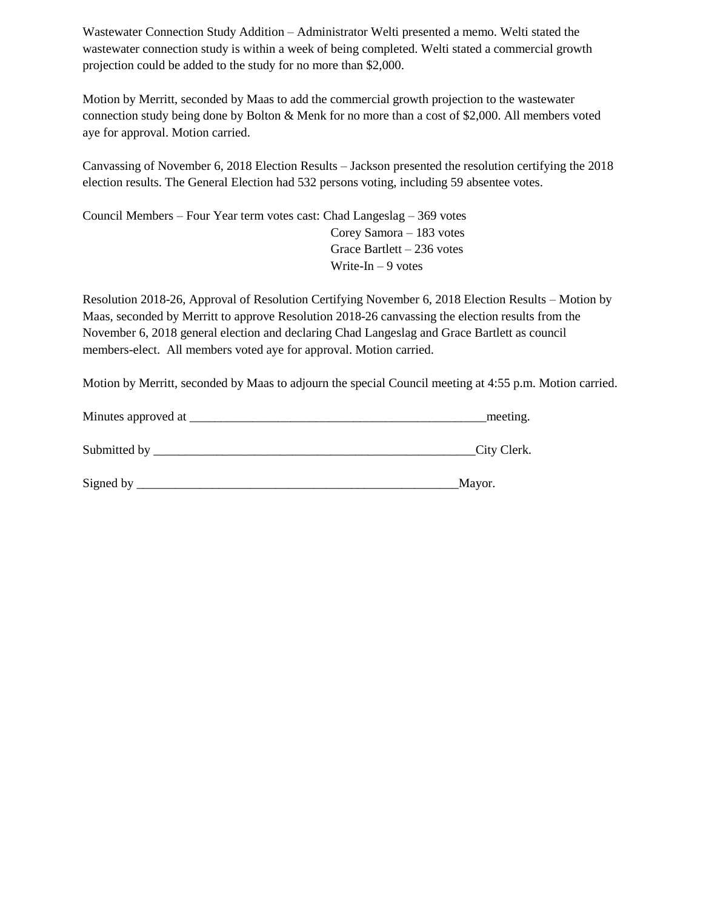Wastewater Connection Study Addition – Administrator Welti presented a memo. Welti stated the wastewater connection study is within a week of being completed. Welti stated a commercial growth projection could be added to the study for no more than \$2,000.

Motion by Merritt, seconded by Maas to add the commercial growth projection to the wastewater connection study being done by Bolton & Menk for no more than a cost of \$2,000. All members voted aye for approval. Motion carried.

Canvassing of November 6, 2018 Election Results – Jackson presented the resolution certifying the 2018 election results. The General Election had 532 persons voting, including 59 absentee votes.

Council Members – Four Year term votes cast: Chad Langeslag – 369 votes Corey Samora – 183 votes Grace Bartlett – 236 votes Write-In  $-9$  votes

Resolution 2018-26, Approval of Resolution Certifying November 6, 2018 Election Results – Motion by Maas, seconded by Merritt to approve Resolution 2018-26 canvassing the election results from the November 6, 2018 general election and declaring Chad Langeslag and Grace Bartlett as council members-elect. All members voted aye for approval. Motion carried.

Motion by Merritt, seconded by Maas to adjourn the special Council meeting at 4:55 p.m. Motion carried.

| Minutes approved at | meeting.     |  |
|---------------------|--------------|--|
| Submitted by        | _City Clerk. |  |
| Signed by           | Mayor.       |  |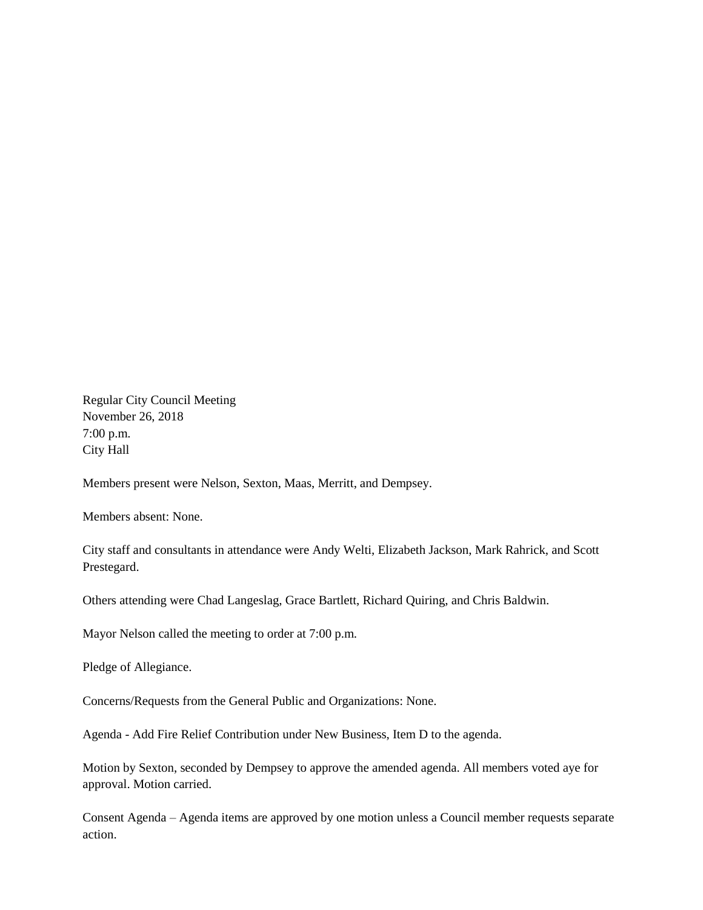Regular City Council Meeting November 26, 2018 7:00 p.m. City Hall

Members present were Nelson, Sexton, Maas, Merritt, and Dempsey.

Members absent: None.

City staff and consultants in attendance were Andy Welti, Elizabeth Jackson, Mark Rahrick, and Scott Prestegard.

Others attending were Chad Langeslag, Grace Bartlett, Richard Quiring, and Chris Baldwin.

Mayor Nelson called the meeting to order at 7:00 p.m.

Pledge of Allegiance.

Concerns/Requests from the General Public and Organizations: None.

Agenda - Add Fire Relief Contribution under New Business, Item D to the agenda.

Motion by Sexton, seconded by Dempsey to approve the amended agenda. All members voted aye for approval. Motion carried.

Consent Agenda – Agenda items are approved by one motion unless a Council member requests separate action.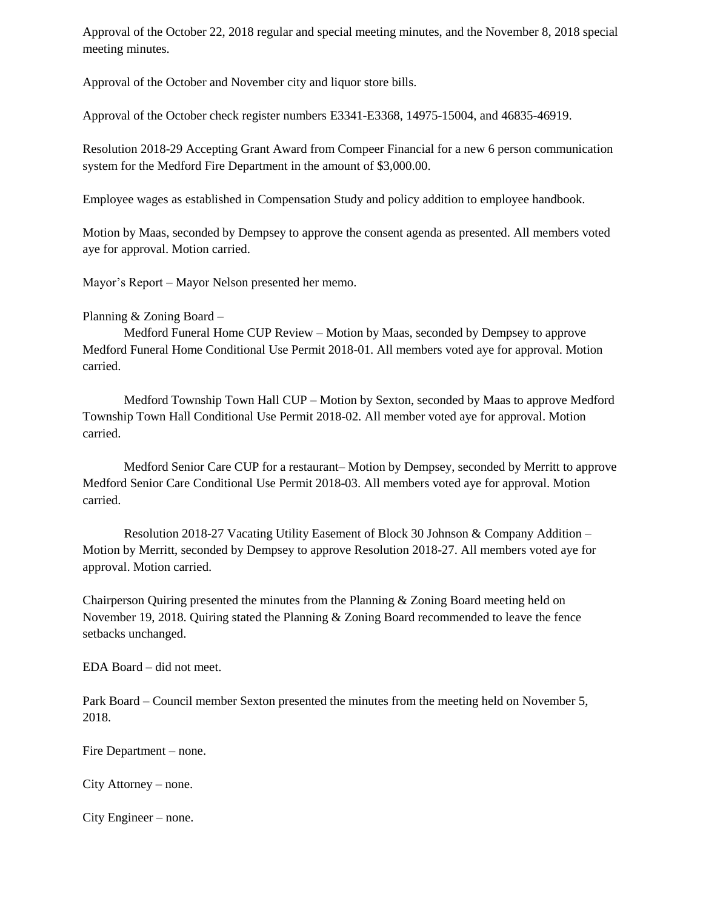Approval of the October 22, 2018 regular and special meeting minutes, and the November 8, 2018 special meeting minutes.

Approval of the October and November city and liquor store bills.

Approval of the October check register numbers E3341-E3368, 14975-15004, and 46835-46919.

Resolution 2018-29 Accepting Grant Award from Compeer Financial for a new 6 person communication system for the Medford Fire Department in the amount of \$3,000.00.

Employee wages as established in Compensation Study and policy addition to employee handbook.

Motion by Maas, seconded by Dempsey to approve the consent agenda as presented. All members voted aye for approval. Motion carried.

Mayor's Report – Mayor Nelson presented her memo.

# Planning & Zoning Board –

Medford Funeral Home CUP Review – Motion by Maas, seconded by Dempsey to approve Medford Funeral Home Conditional Use Permit 2018-01. All members voted aye for approval. Motion carried.

Medford Township Town Hall CUP – Motion by Sexton, seconded by Maas to approve Medford Township Town Hall Conditional Use Permit 2018-02. All member voted aye for approval. Motion carried.

Medford Senior Care CUP for a restaurant– Motion by Dempsey, seconded by Merritt to approve Medford Senior Care Conditional Use Permit 2018-03. All members voted aye for approval. Motion carried.

Resolution 2018-27 Vacating Utility Easement of Block 30 Johnson & Company Addition – Motion by Merritt, seconded by Dempsey to approve Resolution 2018-27. All members voted aye for approval. Motion carried.

Chairperson Quiring presented the minutes from the Planning & Zoning Board meeting held on November 19, 2018. Quiring stated the Planning & Zoning Board recommended to leave the fence setbacks unchanged.

EDA Board – did not meet.

Park Board – Council member Sexton presented the minutes from the meeting held on November 5, 2018.

Fire Department – none.

City Attorney – none.

City Engineer – none.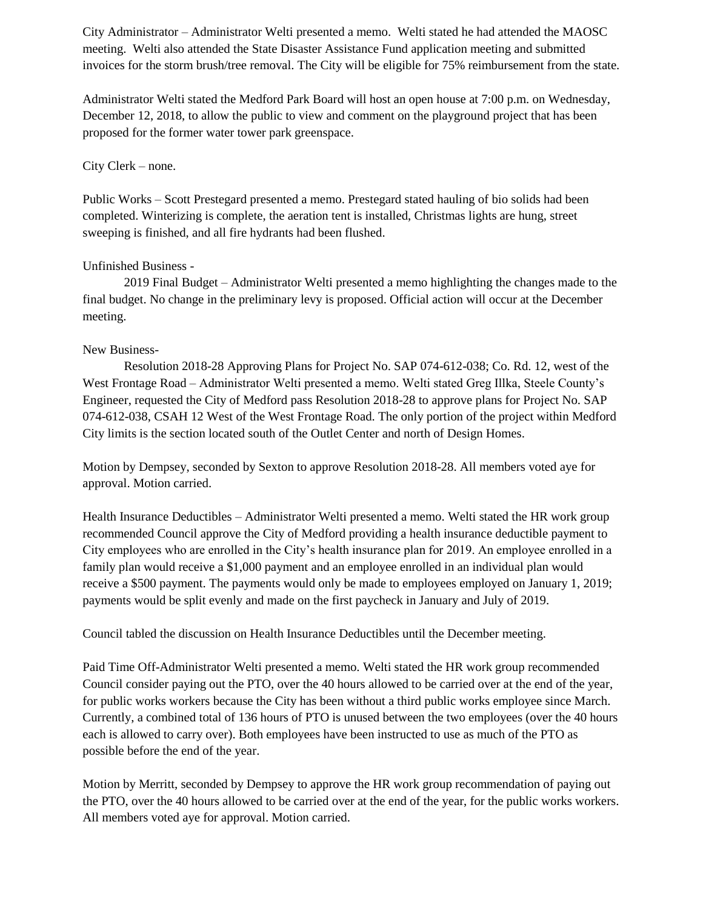City Administrator – Administrator Welti presented a memo. Welti stated he had attended the MAOSC meeting. Welti also attended the State Disaster Assistance Fund application meeting and submitted invoices for the storm brush/tree removal. The City will be eligible for 75% reimbursement from the state.

Administrator Welti stated the Medford Park Board will host an open house at 7:00 p.m. on Wednesday, December 12, 2018, to allow the public to view and comment on the playground project that has been proposed for the former water tower park greenspace.

## City Clerk – none.

Public Works – Scott Prestegard presented a memo. Prestegard stated hauling of bio solids had been completed. Winterizing is complete, the aeration tent is installed, Christmas lights are hung, street sweeping is finished, and all fire hydrants had been flushed.

# Unfinished Business -

2019 Final Budget – Administrator Welti presented a memo highlighting the changes made to the final budget. No change in the preliminary levy is proposed. Official action will occur at the December meeting.

# New Business-

Resolution 2018-28 Approving Plans for Project No. SAP 074-612-038; Co. Rd. 12, west of the West Frontage Road – Administrator Welti presented a memo. Welti stated Greg Illka, Steele County's Engineer, requested the City of Medford pass Resolution 2018-28 to approve plans for Project No. SAP 074-612-038, CSAH 12 West of the West Frontage Road. The only portion of the project within Medford City limits is the section located south of the Outlet Center and north of Design Homes.

Motion by Dempsey, seconded by Sexton to approve Resolution 2018-28. All members voted aye for approval. Motion carried.

Health Insurance Deductibles – Administrator Welti presented a memo. Welti stated the HR work group recommended Council approve the City of Medford providing a health insurance deductible payment to City employees who are enrolled in the City's health insurance plan for 2019. An employee enrolled in a family plan would receive a \$1,000 payment and an employee enrolled in an individual plan would receive a \$500 payment. The payments would only be made to employees employed on January 1, 2019; payments would be split evenly and made on the first paycheck in January and July of 2019.

Council tabled the discussion on Health Insurance Deductibles until the December meeting.

Paid Time Off-Administrator Welti presented a memo. Welti stated the HR work group recommended Council consider paying out the PTO, over the 40 hours allowed to be carried over at the end of the year, for public works workers because the City has been without a third public works employee since March. Currently, a combined total of 136 hours of PTO is unused between the two employees (over the 40 hours each is allowed to carry over). Both employees have been instructed to use as much of the PTO as possible before the end of the year.

Motion by Merritt, seconded by Dempsey to approve the HR work group recommendation of paying out the PTO, over the 40 hours allowed to be carried over at the end of the year, for the public works workers. All members voted aye for approval. Motion carried.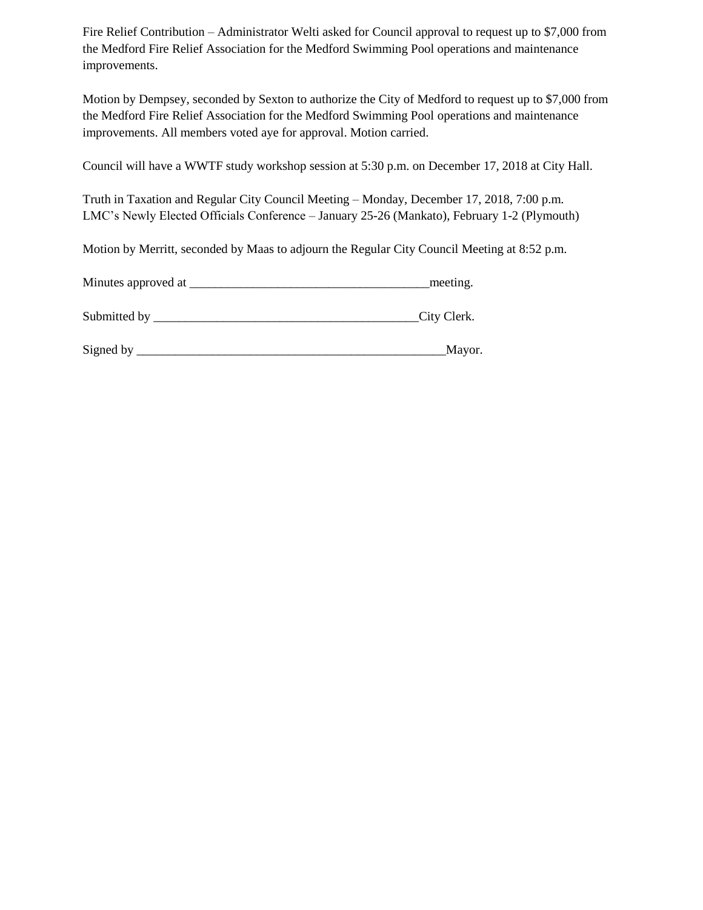Fire Relief Contribution – Administrator Welti asked for Council approval to request up to \$7,000 from the Medford Fire Relief Association for the Medford Swimming Pool operations and maintenance improvements.

Motion by Dempsey, seconded by Sexton to authorize the City of Medford to request up to \$7,000 from the Medford Fire Relief Association for the Medford Swimming Pool operations and maintenance improvements. All members voted aye for approval. Motion carried.

Council will have a WWTF study workshop session at 5:30 p.m. on December 17, 2018 at City Hall.

Truth in Taxation and Regular City Council Meeting – Monday, December 17, 2018, 7:00 p.m. LMC's Newly Elected Officials Conference – January 25-26 (Mankato), February 1-2 (Plymouth)

Motion by Merritt, seconded by Maas to adjourn the Regular City Council Meeting at 8:52 p.m.

| Minutes approved at | meeting.    |  |
|---------------------|-------------|--|
|                     |             |  |
| Submitted by        | City Clerk. |  |

| Signed b<br>. hv | ***** |
|------------------|-------|
|                  |       |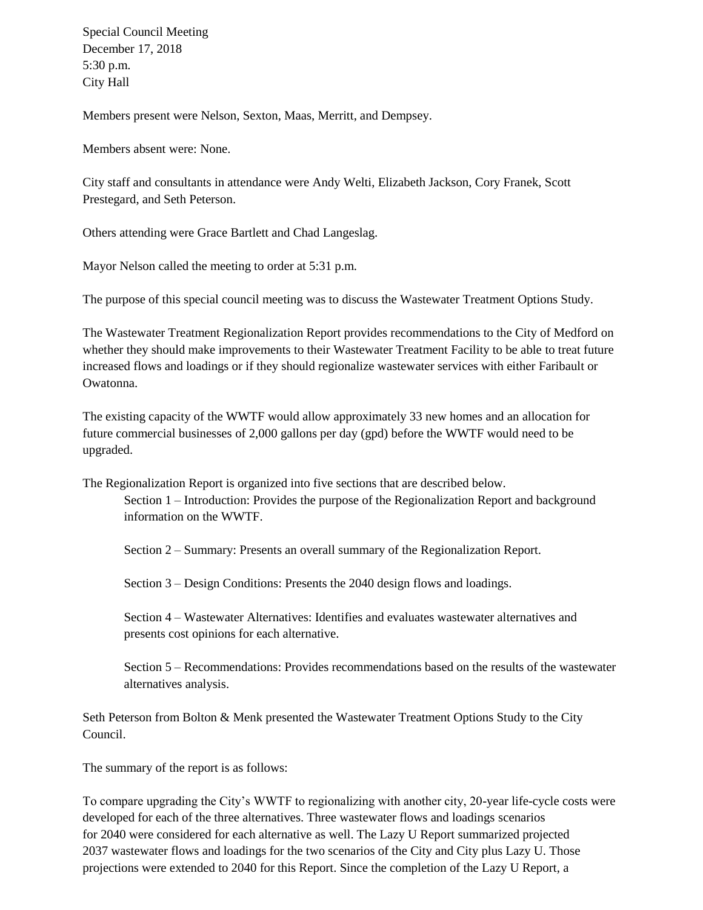Special Council Meeting December 17, 2018 5:30 p.m. City Hall

Members present were Nelson, Sexton, Maas, Merritt, and Dempsey.

Members absent were: None.

City staff and consultants in attendance were Andy Welti, Elizabeth Jackson, Cory Franek, Scott Prestegard, and Seth Peterson.

Others attending were Grace Bartlett and Chad Langeslag.

Mayor Nelson called the meeting to order at 5:31 p.m.

The purpose of this special council meeting was to discuss the Wastewater Treatment Options Study.

The Wastewater Treatment Regionalization Report provides recommendations to the City of Medford on whether they should make improvements to their Wastewater Treatment Facility to be able to treat future increased flows and loadings or if they should regionalize wastewater services with either Faribault or Owatonna.

The existing capacity of the WWTF would allow approximately 33 new homes and an allocation for future commercial businesses of 2,000 gallons per day (gpd) before the WWTF would need to be upgraded.

The Regionalization Report is organized into five sections that are described below. Section 1 – Introduction: Provides the purpose of the Regionalization Report and background information on the WWTF.

Section 2 – Summary: Presents an overall summary of the Regionalization Report.

Section 3 – Design Conditions: Presents the 2040 design flows and loadings.

Section 4 – Wastewater Alternatives: Identifies and evaluates wastewater alternatives and presents cost opinions for each alternative.

Section 5 – Recommendations: Provides recommendations based on the results of the wastewater alternatives analysis.

Seth Peterson from Bolton & Menk presented the Wastewater Treatment Options Study to the City Council.

The summary of the report is as follows:

To compare upgrading the City's WWTF to regionalizing with another city, 20-year life-cycle costs were developed for each of the three alternatives. Three wastewater flows and loadings scenarios for 2040 were considered for each alternative as well. The Lazy U Report summarized projected 2037 wastewater flows and loadings for the two scenarios of the City and City plus Lazy U. Those projections were extended to 2040 for this Report. Since the completion of the Lazy U Report, a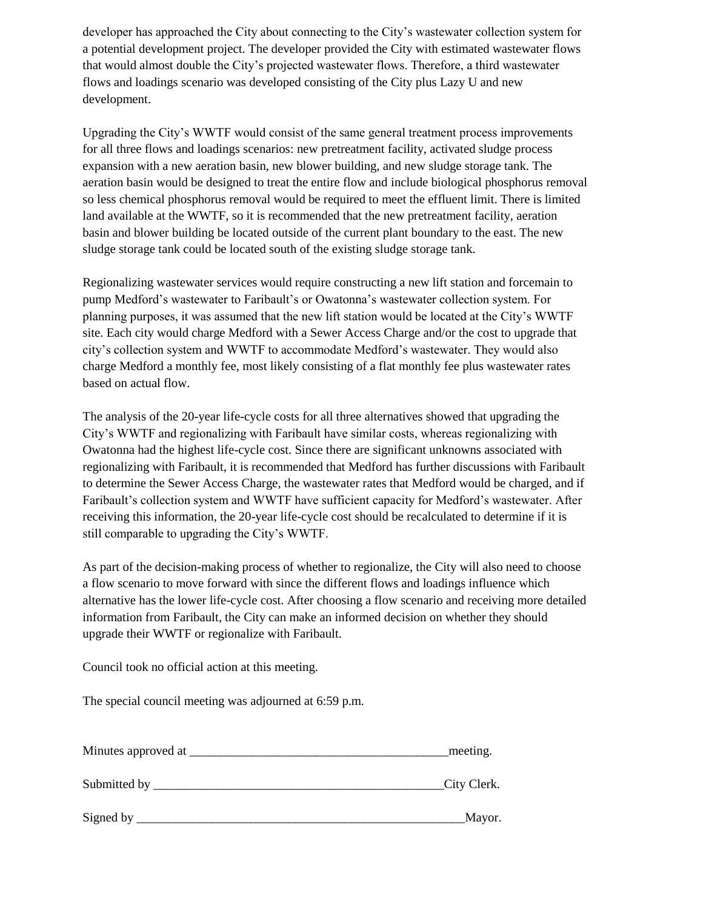developer has approached the City about connecting to the City's wastewater collection system for a potential development project. The developer provided the City with estimated wastewater flows that would almost double the City's projected wastewater flows. Therefore, a third wastewater flows and loadings scenario was developed consisting of the City plus Lazy U and new development.

Upgrading the City's WWTF would consist of the same general treatment process improvements for all three flows and loadings scenarios: new pretreatment facility, activated sludge process expansion with a new aeration basin, new blower building, and new sludge storage tank. The aeration basin would be designed to treat the entire flow and include biological phosphorus removal so less chemical phosphorus removal would be required to meet the effluent limit. There is limited land available at the WWTF, so it is recommended that the new pretreatment facility, aeration basin and blower building be located outside of the current plant boundary to the east. The new sludge storage tank could be located south of the existing sludge storage tank.

Regionalizing wastewater services would require constructing a new lift station and forcemain to pump Medford's wastewater to Faribault's or Owatonna's wastewater collection system. For planning purposes, it was assumed that the new lift station would be located at the City's WWTF site. Each city would charge Medford with a Sewer Access Charge and/or the cost to upgrade that city's collection system and WWTF to accommodate Medford's wastewater. They would also charge Medford a monthly fee, most likely consisting of a flat monthly fee plus wastewater rates based on actual flow.

The analysis of the 20-year life-cycle costs for all three alternatives showed that upgrading the City's WWTF and regionalizing with Faribault have similar costs, whereas regionalizing with Owatonna had the highest life-cycle cost. Since there are significant unknowns associated with regionalizing with Faribault, it is recommended that Medford has further discussions with Faribault to determine the Sewer Access Charge, the wastewater rates that Medford would be charged, and if Faribault's collection system and WWTF have sufficient capacity for Medford's wastewater. After receiving this information, the 20-year life-cycle cost should be recalculated to determine if it is still comparable to upgrading the City's WWTF.

As part of the decision-making process of whether to regionalize, the City will also need to choose a flow scenario to move forward with since the different flows and loadings influence which alternative has the lower life-cycle cost. After choosing a flow scenario and receiving more detailed information from Faribault, the City can make an informed decision on whether they should upgrade their WWTF or regionalize with Faribault.

Council took no official action at this meeting.

The special council meeting was adjourned at 6:59 p.m.

| Minutes approved at | meeting.    |
|---------------------|-------------|
| Submitted by        | City Clerk. |
| Signed by           | Mayor.      |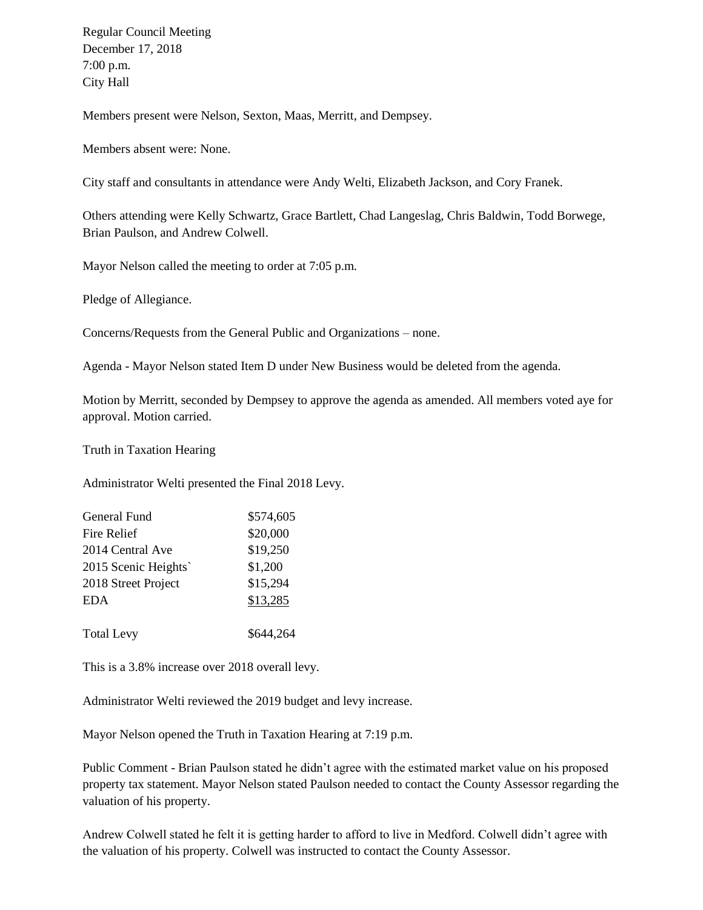Regular Council Meeting December 17, 2018 7:00 p.m. City Hall

Members present were Nelson, Sexton, Maas, Merritt, and Dempsey.

Members absent were: None.

City staff and consultants in attendance were Andy Welti, Elizabeth Jackson, and Cory Franek.

Others attending were Kelly Schwartz, Grace Bartlett, Chad Langeslag, Chris Baldwin, Todd Borwege, Brian Paulson, and Andrew Colwell.

Mayor Nelson called the meeting to order at 7:05 p.m.

Pledge of Allegiance.

Concerns/Requests from the General Public and Organizations – none.

Agenda - Mayor Nelson stated Item D under New Business would be deleted from the agenda.

Motion by Merritt, seconded by Dempsey to approve the agenda as amended. All members voted aye for approval. Motion carried.

Truth in Taxation Hearing

Administrator Welti presented the Final 2018 Levy.

| General Fund        | \$574,605 |
|---------------------|-----------|
| Fire Relief         | \$20,000  |
| 2014 Central Ave    | \$19,250  |
| 2015 Scenic Heights | \$1,200   |
| 2018 Street Project | \$15,294  |
| <b>EDA</b>          | \$13,285  |
|                     |           |
| <b>Total Levy</b>   | \$644,264 |

This is a 3.8% increase over 2018 overall levy.

Administrator Welti reviewed the 2019 budget and levy increase.

Mayor Nelson opened the Truth in Taxation Hearing at 7:19 p.m.

Public Comment - Brian Paulson stated he didn't agree with the estimated market value on his proposed property tax statement. Mayor Nelson stated Paulson needed to contact the County Assessor regarding the valuation of his property.

Andrew Colwell stated he felt it is getting harder to afford to live in Medford. Colwell didn't agree with the valuation of his property. Colwell was instructed to contact the County Assessor.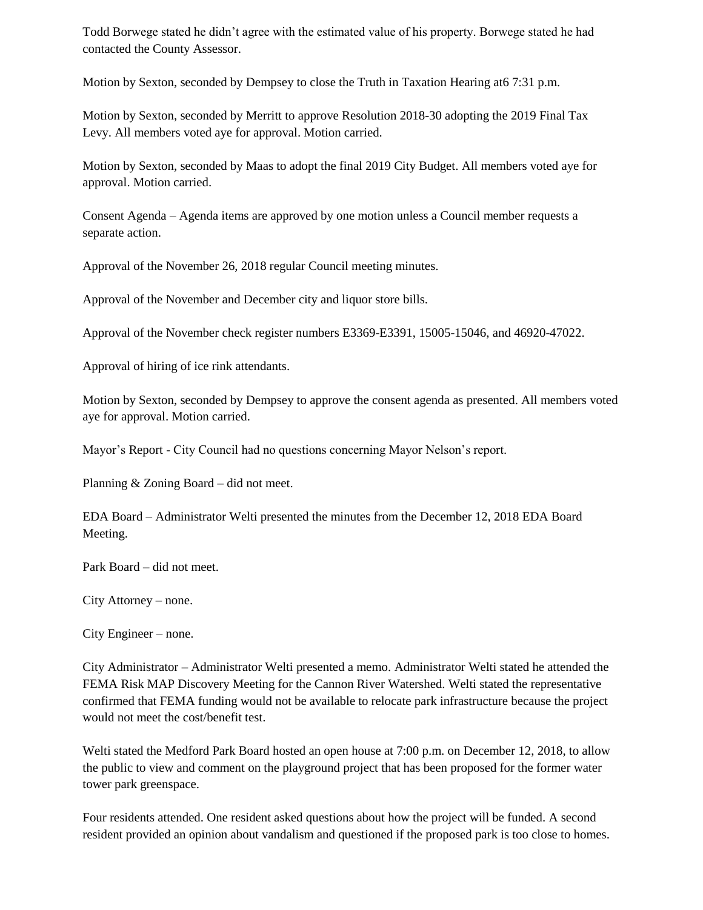Todd Borwege stated he didn't agree with the estimated value of his property. Borwege stated he had contacted the County Assessor.

Motion by Sexton, seconded by Dempsey to close the Truth in Taxation Hearing at6 7:31 p.m.

Motion by Sexton, seconded by Merritt to approve Resolution 2018-30 adopting the 2019 Final Tax Levy. All members voted aye for approval. Motion carried.

Motion by Sexton, seconded by Maas to adopt the final 2019 City Budget. All members voted aye for approval. Motion carried.

Consent Agenda – Agenda items are approved by one motion unless a Council member requests a separate action.

Approval of the November 26, 2018 regular Council meeting minutes.

Approval of the November and December city and liquor store bills.

Approval of the November check register numbers E3369-E3391, 15005-15046, and 46920-47022.

Approval of hiring of ice rink attendants.

Motion by Sexton, seconded by Dempsey to approve the consent agenda as presented. All members voted aye for approval. Motion carried.

Mayor's Report - City Council had no questions concerning Mayor Nelson's report.

Planning & Zoning Board – did not meet.

EDA Board – Administrator Welti presented the minutes from the December 12, 2018 EDA Board Meeting.

Park Board – did not meet.

City Attorney – none.

City Engineer – none.

City Administrator – Administrator Welti presented a memo. Administrator Welti stated he attended the FEMA Risk MAP Discovery Meeting for the Cannon River Watershed. Welti stated the representative confirmed that FEMA funding would not be available to relocate park infrastructure because the project would not meet the cost/benefit test.

Welti stated the Medford Park Board hosted an open house at 7:00 p.m. on December 12, 2018, to allow the public to view and comment on the playground project that has been proposed for the former water tower park greenspace.

Four residents attended. One resident asked questions about how the project will be funded. A second resident provided an opinion about vandalism and questioned if the proposed park is too close to homes.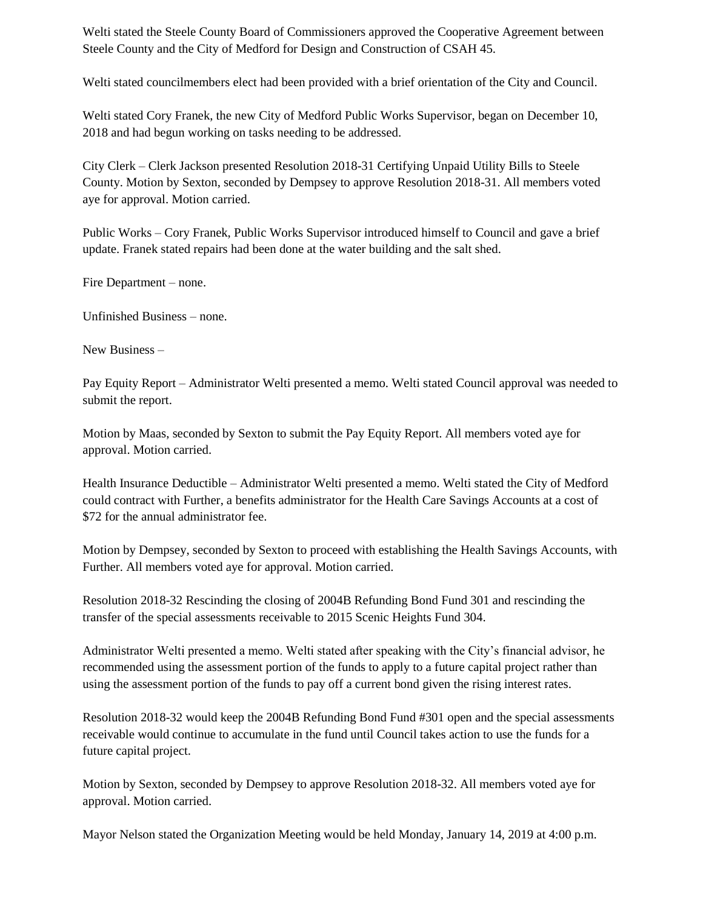Welti stated the Steele County Board of Commissioners approved the Cooperative Agreement between Steele County and the City of Medford for Design and Construction of CSAH 45.

Welti stated councilmembers elect had been provided with a brief orientation of the City and Council.

Welti stated Cory Franek, the new City of Medford Public Works Supervisor, began on December 10, 2018 and had begun working on tasks needing to be addressed.

City Clerk – Clerk Jackson presented Resolution 2018-31 Certifying Unpaid Utility Bills to Steele County. Motion by Sexton, seconded by Dempsey to approve Resolution 2018-31. All members voted aye for approval. Motion carried.

Public Works – Cory Franek, Public Works Supervisor introduced himself to Council and gave a brief update. Franek stated repairs had been done at the water building and the salt shed.

Fire Department – none.

Unfinished Business – none.

New Business –

Pay Equity Report – Administrator Welti presented a memo. Welti stated Council approval was needed to submit the report.

Motion by Maas, seconded by Sexton to submit the Pay Equity Report. All members voted aye for approval. Motion carried.

Health Insurance Deductible – Administrator Welti presented a memo. Welti stated the City of Medford could contract with Further, a benefits administrator for the Health Care Savings Accounts at a cost of \$72 for the annual administrator fee.

Motion by Dempsey, seconded by Sexton to proceed with establishing the Health Savings Accounts, with Further. All members voted aye for approval. Motion carried.

Resolution 2018-32 Rescinding the closing of 2004B Refunding Bond Fund 301 and rescinding the transfer of the special assessments receivable to 2015 Scenic Heights Fund 304.

Administrator Welti presented a memo. Welti stated after speaking with the City's financial advisor, he recommended using the assessment portion of the funds to apply to a future capital project rather than using the assessment portion of the funds to pay off a current bond given the rising interest rates.

Resolution 2018-32 would keep the 2004B Refunding Bond Fund #301 open and the special assessments receivable would continue to accumulate in the fund until Council takes action to use the funds for a future capital project.

Motion by Sexton, seconded by Dempsey to approve Resolution 2018-32. All members voted aye for approval. Motion carried.

Mayor Nelson stated the Organization Meeting would be held Monday, January 14, 2019 at 4:00 p.m.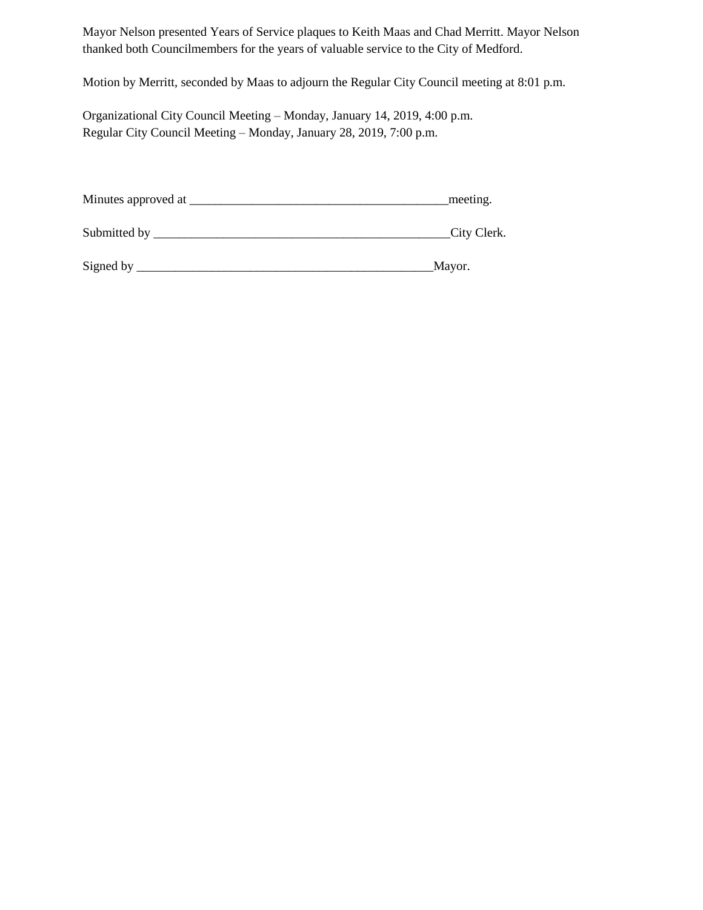Mayor Nelson presented Years of Service plaques to Keith Maas and Chad Merritt. Mayor Nelson thanked both Councilmembers for the years of valuable service to the City of Medford.

Motion by Merritt, seconded by Maas to adjourn the Regular City Council meeting at 8:01 p.m.

Organizational City Council Meeting – Monday, January 14, 2019, 4:00 p.m. Regular City Council Meeting – Monday, January 28, 2019, 7:00 p.m.

| Minutes approved at | meeting. |
|---------------------|----------|
|---------------------|----------|

| Submitted by |  | Clerk.<br>City ( |
|--------------|--|------------------|
|--------------|--|------------------|

Signed by \_\_\_\_\_\_\_\_\_\_\_\_\_\_\_\_\_\_\_\_\_\_\_\_\_\_\_\_\_\_\_\_\_\_\_\_\_\_\_\_\_\_\_\_\_\_\_Mayor.